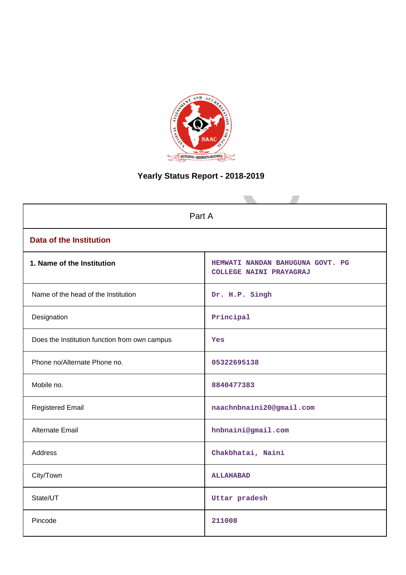

# **Yearly Status Report - 2018-2019**

| Part A                                        |                                                             |  |  |  |  |
|-----------------------------------------------|-------------------------------------------------------------|--|--|--|--|
| <b>Data of the Institution</b>                |                                                             |  |  |  |  |
| 1. Name of the Institution                    | HEMWATI NANDAN BAHUGUNA GOVT. PG<br>COLLEGE NAINI PRAYAGRAJ |  |  |  |  |
| Name of the head of the Institution           | Dr. H.P. Singh                                              |  |  |  |  |
| Designation                                   | Principal                                                   |  |  |  |  |
| Does the Institution function from own campus | Yes                                                         |  |  |  |  |
| Phone no/Alternate Phone no.                  | 05322695138                                                 |  |  |  |  |
| Mobile no.                                    | 8840477383                                                  |  |  |  |  |
| <b>Registered Email</b>                       | naachnbnaini20@gmail.com                                    |  |  |  |  |
| <b>Alternate Email</b>                        | hnbnaini@gmail.com                                          |  |  |  |  |
| <b>Address</b>                                | Chakbhatai, Naini                                           |  |  |  |  |
| City/Town                                     | <b>ALLAHABAD</b>                                            |  |  |  |  |
| State/UT                                      | Uttar pradesh                                               |  |  |  |  |
| Pincode                                       | 211008                                                      |  |  |  |  |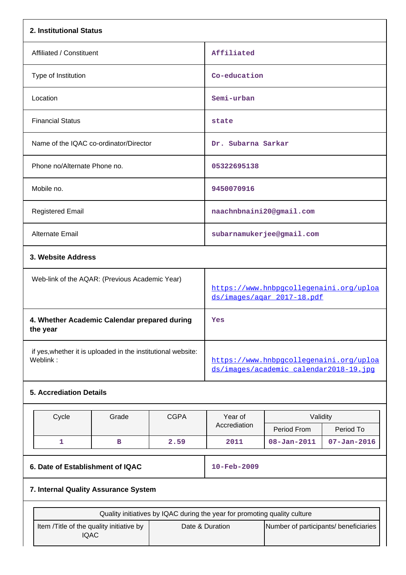| 2. Institutional Status                                  |                                                              |             |                                                                           |                                                                                   |                   |  |
|----------------------------------------------------------|--------------------------------------------------------------|-------------|---------------------------------------------------------------------------|-----------------------------------------------------------------------------------|-------------------|--|
| Affiliated / Constituent                                 |                                                              |             | Affiliated                                                                |                                                                                   |                   |  |
| Type of Institution                                      |                                                              |             | Co-education                                                              |                                                                                   |                   |  |
| Location                                                 |                                                              |             | Semi-urban                                                                |                                                                                   |                   |  |
| <b>Financial Status</b>                                  |                                                              |             | state                                                                     |                                                                                   |                   |  |
| Name of the IQAC co-ordinator/Director                   |                                                              |             | Dr. Subarna Sarkar                                                        |                                                                                   |                   |  |
| Phone no/Alternate Phone no.                             |                                                              |             | 05322695138                                                               |                                                                                   |                   |  |
| Mobile no.                                               |                                                              |             | 9450070916                                                                |                                                                                   |                   |  |
| <b>Registered Email</b>                                  |                                                              |             | naachnbnaini20@gmail.com                                                  |                                                                                   |                   |  |
| Alternate Email                                          |                                                              |             |                                                                           | subarnamukerjee@gmail.com                                                         |                   |  |
|                                                          | 3. Website Address                                           |             |                                                                           |                                                                                   |                   |  |
| Web-link of the AQAR: (Previous Academic Year)           |                                                              |             | https://www.hnbpgcollegenaini.org/uploa<br>ds/images/agar_2017-18.pdf     |                                                                                   |                   |  |
| 4. Whether Academic Calendar prepared during<br>the year |                                                              |             | Yes                                                                       |                                                                                   |                   |  |
| Weblink:                                                 | if yes, whether it is uploaded in the institutional website: |             |                                                                           | https://www.hnbpgcollegenaini.org/uploa<br>ds/images/academic calendar2018-19.jpg |                   |  |
| <b>5. Accrediation Details</b>                           |                                                              |             |                                                                           |                                                                                   |                   |  |
| Cycle                                                    | Grade                                                        | <b>CGPA</b> | Year of                                                                   | Validity                                                                          |                   |  |
|                                                          |                                                              |             | Accrediation                                                              | Period From                                                                       | Period To         |  |
| 1                                                        | в                                                            | 2.59        | 2011                                                                      | $08 - Jan - 2011$                                                                 | $07 - Jan - 2016$ |  |
|                                                          | 6. Date of Establishment of IQAC                             |             |                                                                           | 10-Feb-2009                                                                       |                   |  |
| 7. Internal Quality Assurance System                     |                                                              |             |                                                                           |                                                                                   |                   |  |
|                                                          |                                                              |             | Quality initiatives by IQAC during the year for promoting quality culture |                                                                                   |                   |  |
| Item /Title of the quality initiative by<br><b>IQAC</b>  |                                                              |             | Date & Duration                                                           | Number of participants/ beneficiaries                                             |                   |  |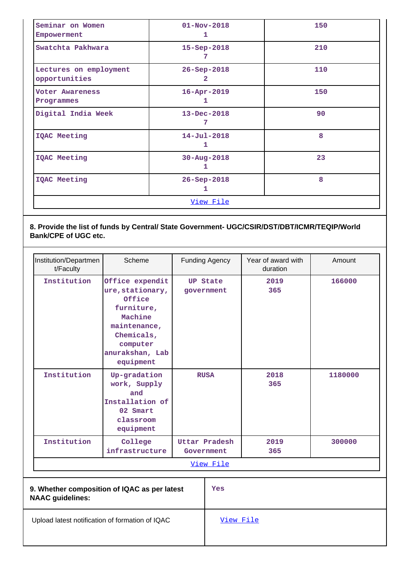| Seminar on Women<br>Empowerment         | $01 - Nov - 2018$<br>1      | 150 |
|-----------------------------------------|-----------------------------|-----|
| Swatchta Pakhwara                       | $15 - Sep-2018$<br>7        | 210 |
| Lectures on employment<br>opportunities | 26-Sep-2018<br>$\mathbf{2}$ | 110 |
| Voter Awareness<br>Programmes           | $16 - Apr - 2019$<br>1      | 150 |
| Digital India Week                      | $13 - Dec - 2018$<br>7      | 90  |
| IQAC Meeting                            | $14 - Jul - 2018$<br>ı      | 8   |
| IQAC Meeting                            | $30 - Aug - 2018$<br>1      | 23  |
| <b>IQAC Meeting</b>                     | $26 - Sep - 2018$<br>ı      | 8   |
|                                         | <u>View File</u>            |     |

# **8. Provide the list of funds by Central/ State Government- UGC/CSIR/DST/DBT/ICMR/TEQIP/World Bank/CPE of UGC etc.**

| Institution/Departmen<br>t/Faculty                                      | Scheme                                                                                                                                           |                               | <b>Funding Agency</b>       | Year of award with<br>duration | Amount  |  |  |  |
|-------------------------------------------------------------------------|--------------------------------------------------------------------------------------------------------------------------------------------------|-------------------------------|-----------------------------|--------------------------------|---------|--|--|--|
| Institution                                                             | Office expendit<br>ure, stationary,<br>Office<br>furniture,<br>Machine<br>maintenance,<br>Chemicals,<br>computer<br>anurakshan, Lab<br>equipment | <b>UP State</b><br>government |                             | 2019<br>365                    | 166000  |  |  |  |
| Institution                                                             | Up-gradation<br>work, Supply<br>and<br>Installation of<br>02 Smart<br>classroom<br>equipment                                                     | <b>RUSA</b>                   |                             | 2018<br>365                    | 1180000 |  |  |  |
| Institution                                                             | College<br>infrastructure                                                                                                                        |                               | Uttar Pradesh<br>Government | 2019<br>365                    | 300000  |  |  |  |
|                                                                         | View File                                                                                                                                        |                               |                             |                                |         |  |  |  |
| 9. Whether composition of IQAC as per latest<br><b>NAAC</b> guidelines: |                                                                                                                                                  |                               | Yes                         |                                |         |  |  |  |
| Upload latest notification of formation of IQAC                         |                                                                                                                                                  |                               | View File                   |                                |         |  |  |  |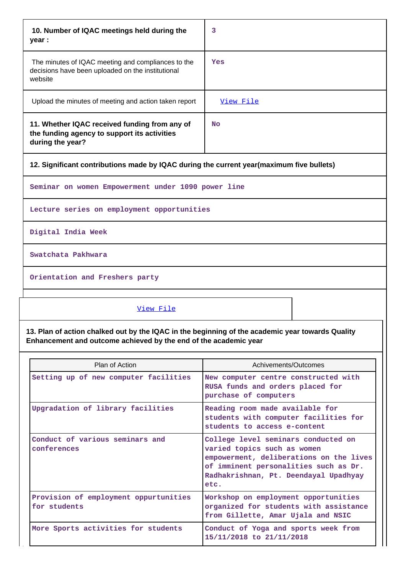| 10. Number of IQAC meetings held during the<br>year :                                                              | 3         |
|--------------------------------------------------------------------------------------------------------------------|-----------|
| The minutes of IQAC meeting and compliances to the<br>decisions have been uploaded on the institutional<br>website | Yes       |
| Upload the minutes of meeting and action taken report                                                              | View File |
| 11. Whether IQAC received funding from any of<br>the funding agency to support its activities<br>during the year?  | No        |

**12. Significant contributions made by IQAC during the current year(maximum five bullets)**

**Seminar on women Empowerment under 1090 power line**

**Lecture series on employment opportunities**

**Digital India Week**

**Swatchata Pakhwara**

**Orientation and Freshers party**

### [View File](https://assessmentonline.naac.gov.in/public/Postacc/Contribution/6343_Contribution.xlsx)

**13. Plan of action chalked out by the IQAC in the beginning of the academic year towards Quality Enhancement and outcome achieved by the end of the academic year**

| Plan of Action                                        | Achivements/Outcomes                                                                                                                                                                                    |  |  |
|-------------------------------------------------------|---------------------------------------------------------------------------------------------------------------------------------------------------------------------------------------------------------|--|--|
| Setting up of new computer facilities                 | New computer centre constructed with<br>RUSA funds and orders placed for<br>purchase of computers                                                                                                       |  |  |
| Upgradation of library facilities                     | Reading room made available for<br>students with computer facilities for<br>students to access e-content                                                                                                |  |  |
| Conduct of various seminars and<br>conferences        | College level seminars conducted on<br>varied topics such as women<br>empowerment, deliberations on the lives<br>of imminent personalities such as Dr.<br>Radhakrishnan, Pt. Deendayal Upadhyay<br>etc. |  |  |
| Provision of employment oppurtunities<br>for students | Workshop on employment opportunities<br>organized for students with assistance<br>from Gillette, Amar Ujala and NSIC                                                                                    |  |  |
| More Sports activities for students                   | Conduct of Yoga and sports week from<br>15/11/2018 to 21/11/2018                                                                                                                                        |  |  |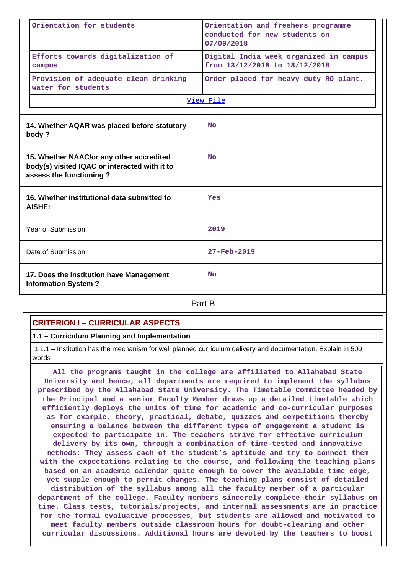| Orientation for students                                                                                             | Orientation and freshers programme<br>conducted for new students on<br>07/09/2018 |  |  |  |
|----------------------------------------------------------------------------------------------------------------------|-----------------------------------------------------------------------------------|--|--|--|
| Efforts towards digitalization of<br>campus                                                                          | Digital India week organized in campus<br>from 13/12/2018 to 18/12/2018           |  |  |  |
| Provision of adequate clean drinking<br>water for students                                                           | Order placed for heavy duty RO plant.                                             |  |  |  |
|                                                                                                                      | View File                                                                         |  |  |  |
| 14. Whether AQAR was placed before statutory<br>body?                                                                | <b>No</b>                                                                         |  |  |  |
| 15. Whether NAAC/or any other accredited<br>body(s) visited IQAC or interacted with it to<br>assess the functioning? | <b>No</b>                                                                         |  |  |  |
| 16. Whether institutional data submitted to<br><b>AISHE:</b>                                                         | Yes                                                                               |  |  |  |
| Year of Submission                                                                                                   | 2019                                                                              |  |  |  |
| Date of Submission                                                                                                   | $27 - Feb - 2019$                                                                 |  |  |  |
| 17. Does the Institution have Management<br><b>Information System?</b>                                               | <b>No</b>                                                                         |  |  |  |
|                                                                                                                      | Part B                                                                            |  |  |  |

# **CRITERION I – CURRICULAR ASPECTS**

### **1.1 – Curriculum Planning and Implementation**

 1.1.1 – Institution has the mechanism for well planned curriculum delivery and documentation. Explain in 500 words

 **All the programs taught in the college are affiliated to Allahabad State University and hence, all departments are required to implement the syllabus prescribed by the Allahabad State University. The Timetable Committee headed by the Principal and a senior Faculty Member draws up a detailed timetable which efficiently deploys the units of time for academic and co-curricular purposes as for example, theory, practical, debate, quizzes and competitions thereby ensuring a balance between the different types of engagement a student is expected to participate in. The teachers strive for effective curriculum delivery by its own, through a combination of time-tested and innovative methods: They assess each of the student's aptitude and try to connect them with the expectations relating to the course, and following the teaching plans based on an academic calendar quite enough to cover the available time edge, yet supple enough to permit changes. The teaching plans consist of detailed distribution of the syllabus among all the faculty member of a particular department of the college. Faculty members sincerely complete their syllabus on time. Class tests, tutorials/projects, and internal assessments are in practice for the formal evaluative processes, but students are allowed and motivated to meet faculty members outside classroom hours for doubt-clearing and other curricular discussions. Additional hours are devoted by the teachers to boost**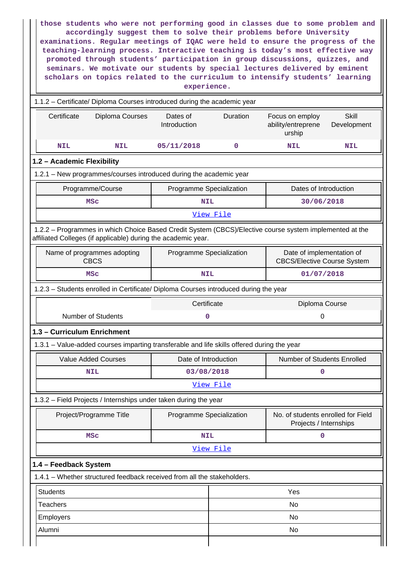| those students who were not performing good in classes due to some problem and<br>accordingly suggest them to solve their problems before University<br>examinations. Regular meetings of IQAC were held to ensure the progress of the<br>teaching-learning process. Interactive teaching is today's most effective way<br>promoted through students' participation in group discussions, quizzes, and<br>seminars. We motivate our students by special lectures delivered by eminent<br>scholars on topics related to the curriculum to intensify students' learning<br>experience. |  |                          |                          |                                                                 |     |  |  |  |  |
|--------------------------------------------------------------------------------------------------------------------------------------------------------------------------------------------------------------------------------------------------------------------------------------------------------------------------------------------------------------------------------------------------------------------------------------------------------------------------------------------------------------------------------------------------------------------------------------|--|--------------------------|--------------------------|-----------------------------------------------------------------|-----|--|--|--|--|
| 1.1.2 - Certificate/ Diploma Courses introduced during the academic year                                                                                                                                                                                                                                                                                                                                                                                                                                                                                                             |  |                          |                          |                                                                 |     |  |  |  |  |
| Dates of<br><b>Skill</b><br>Certificate<br>Diploma Courses<br>Duration<br>Focus on employ<br>ability/entreprene<br>Introduction<br>Development<br>urship                                                                                                                                                                                                                                                                                                                                                                                                                             |  |                          |                          |                                                                 |     |  |  |  |  |
| <b>NIL</b><br>05/11/2018<br>0<br>NIL                                                                                                                                                                                                                                                                                                                                                                                                                                                                                                                                                 |  |                          |                          | NIL                                                             | NIL |  |  |  |  |
| 1.2 - Academic Flexibility                                                                                                                                                                                                                                                                                                                                                                                                                                                                                                                                                           |  |                          |                          |                                                                 |     |  |  |  |  |
| 1.2.1 - New programmes/courses introduced during the academic year                                                                                                                                                                                                                                                                                                                                                                                                                                                                                                                   |  |                          |                          |                                                                 |     |  |  |  |  |
| Programme/Course                                                                                                                                                                                                                                                                                                                                                                                                                                                                                                                                                                     |  | Programme Specialization |                          | Dates of Introduction                                           |     |  |  |  |  |
| <b>MSC</b>                                                                                                                                                                                                                                                                                                                                                                                                                                                                                                                                                                           |  | <b>NIL</b>               |                          | 30/06/2018                                                      |     |  |  |  |  |
|                                                                                                                                                                                                                                                                                                                                                                                                                                                                                                                                                                                      |  |                          | View File                |                                                                 |     |  |  |  |  |
| 1.2.2 - Programmes in which Choice Based Credit System (CBCS)/Elective course system implemented at the<br>affiliated Colleges (if applicable) during the academic year.                                                                                                                                                                                                                                                                                                                                                                                                             |  |                          |                          |                                                                 |     |  |  |  |  |
| Name of programmes adopting<br><b>CBCS</b>                                                                                                                                                                                                                                                                                                                                                                                                                                                                                                                                           |  |                          | Programme Specialization | Date of implementation of<br><b>CBCS/Elective Course System</b> |     |  |  |  |  |
| MSC                                                                                                                                                                                                                                                                                                                                                                                                                                                                                                                                                                                  |  | <b>NIL</b>               |                          | 01/07/2018                                                      |     |  |  |  |  |
| 1.2.3 - Students enrolled in Certificate/ Diploma Courses introduced during the year                                                                                                                                                                                                                                                                                                                                                                                                                                                                                                 |  |                          |                          |                                                                 |     |  |  |  |  |
|                                                                                                                                                                                                                                                                                                                                                                                                                                                                                                                                                                                      |  | Certificate              |                          | Diploma Course                                                  |     |  |  |  |  |
| <b>Number of Students</b>                                                                                                                                                                                                                                                                                                                                                                                                                                                                                                                                                            |  | 0                        |                          | 0                                                               |     |  |  |  |  |
| 1.3 - Curriculum Enrichment                                                                                                                                                                                                                                                                                                                                                                                                                                                                                                                                                          |  |                          |                          |                                                                 |     |  |  |  |  |
| 1.3.1 - Value-added courses imparting transferable and life skills offered during the year                                                                                                                                                                                                                                                                                                                                                                                                                                                                                           |  |                          |                          |                                                                 |     |  |  |  |  |
|                                                                                                                                                                                                                                                                                                                                                                                                                                                                                                                                                                                      |  |                          |                          |                                                                 |     |  |  |  |  |
| <b>Value Added Courses</b>                                                                                                                                                                                                                                                                                                                                                                                                                                                                                                                                                           |  | Date of Introduction     |                          | Number of Students Enrolled                                     |     |  |  |  |  |
| <b>NIL</b>                                                                                                                                                                                                                                                                                                                                                                                                                                                                                                                                                                           |  | 03/08/2018               |                          | 0                                                               |     |  |  |  |  |
|                                                                                                                                                                                                                                                                                                                                                                                                                                                                                                                                                                                      |  |                          | <u>View File</u>         |                                                                 |     |  |  |  |  |
| 1.3.2 - Field Projects / Internships under taken during the year                                                                                                                                                                                                                                                                                                                                                                                                                                                                                                                     |  |                          |                          |                                                                 |     |  |  |  |  |
| Project/Programme Title                                                                                                                                                                                                                                                                                                                                                                                                                                                                                                                                                              |  | Programme Specialization |                          | No. of students enrolled for Field<br>Projects / Internships    |     |  |  |  |  |
| <b>MSC</b>                                                                                                                                                                                                                                                                                                                                                                                                                                                                                                                                                                           |  | <b>NIL</b>               |                          | 0                                                               |     |  |  |  |  |
|                                                                                                                                                                                                                                                                                                                                                                                                                                                                                                                                                                                      |  |                          | View File                |                                                                 |     |  |  |  |  |
| 1.4 - Feedback System                                                                                                                                                                                                                                                                                                                                                                                                                                                                                                                                                                |  |                          |                          |                                                                 |     |  |  |  |  |
| 1.4.1 - Whether structured feedback received from all the stakeholders.                                                                                                                                                                                                                                                                                                                                                                                                                                                                                                              |  |                          |                          |                                                                 |     |  |  |  |  |
| <b>Students</b>                                                                                                                                                                                                                                                                                                                                                                                                                                                                                                                                                                      |  |                          |                          | Yes                                                             |     |  |  |  |  |
| <b>Teachers</b>                                                                                                                                                                                                                                                                                                                                                                                                                                                                                                                                                                      |  |                          |                          | No                                                              |     |  |  |  |  |
| Employers                                                                                                                                                                                                                                                                                                                                                                                                                                                                                                                                                                            |  |                          |                          | No                                                              |     |  |  |  |  |
| Alumni                                                                                                                                                                                                                                                                                                                                                                                                                                                                                                                                                                               |  |                          |                          | No                                                              |     |  |  |  |  |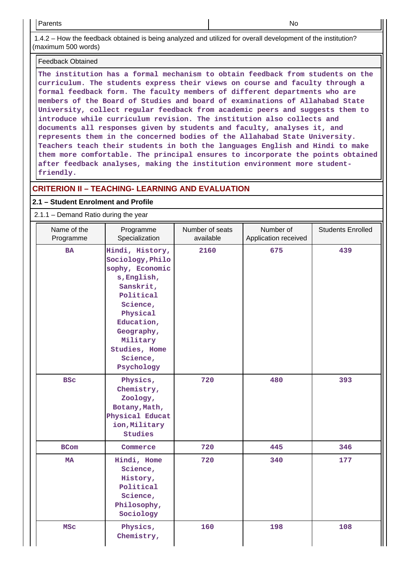1.4.2 – How the feedback obtained is being analyzed and utilized for overall development of the institution? (maximum 500 words)

#### Feedback Obtained

**The institution has a formal mechanism to obtain feedback from students on the curriculum. The students express their views on course and faculty through a formal feedback form. The faculty members of different departments who are members of the Board of Studies and board of examinations of Allahabad State University, collect regular feedback from academic peers and suggests them to introduce while curriculum revision. The institution also collects and documents all responses given by students and faculty, analyses it, and represents them in the concerned bodies of the Allahabad State University. Teachers teach their students in both the languages English and Hindi to make them more comfortable. The principal ensures to incorporate the points obtained after feedback analyses, making the institution environment more studentfriendly.**

# **CRITERION II – TEACHING- LEARNING AND EVALUATION**

# **2.1 – Student Enrolment and Profile**

# 2.1.1 – Demand Ratio during the year

| Name of the<br>Programme | Programme<br>Specialization                                                                                                                                                                                | Number of seats<br>available | Number of<br>Application received | <b>Students Enrolled</b> |
|--------------------------|------------------------------------------------------------------------------------------------------------------------------------------------------------------------------------------------------------|------------------------------|-----------------------------------|--------------------------|
| <b>BA</b>                | Hindi, History,<br>Sociology, Philo<br>sophy, Economic<br>s, English,<br>Sanskrit,<br>Political<br>Science,<br>Physical<br>Education,<br>Geography,<br>Military<br>Studies, Home<br>Science,<br>Psychology | 2160                         | 675                               | 439                      |
| <b>BSC</b>               | Physics,<br>Chemistry,<br>Zoology,<br>Botany, Math,<br>Physical Educat<br>ion, Military<br>Studies                                                                                                         | 720                          | 480                               | 393                      |
| <b>BCom</b>              | Commerce                                                                                                                                                                                                   | 720                          | 445                               | 346                      |
| <b>MA</b>                | Hindi, Home<br>Science,<br>History,<br>Political<br>Science,<br>Philosophy,<br>Sociology                                                                                                                   | 720                          | 340                               | 177                      |
| <b>MSC</b>               | Physics,<br>Chemistry,                                                                                                                                                                                     | 160                          | 198                               | 108                      |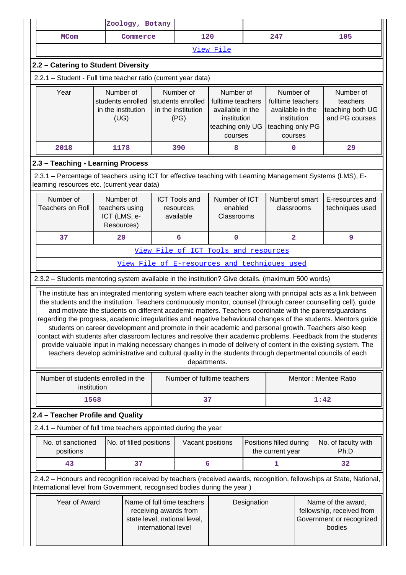|                                                                                                                                                                                                                       |                                                                                                                                                                                                                                                                                                                                                                                                                                                                                                                                                                                                                                                                                                                                                                                                                                                                                                                                             |                                                              | Zoology, Botany         |                                                              |                                                                                                  |  |                                                                                                  |  |                                                                                                                     |
|-----------------------------------------------------------------------------------------------------------------------------------------------------------------------------------------------------------------------|---------------------------------------------------------------------------------------------------------------------------------------------------------------------------------------------------------------------------------------------------------------------------------------------------------------------------------------------------------------------------------------------------------------------------------------------------------------------------------------------------------------------------------------------------------------------------------------------------------------------------------------------------------------------------------------------------------------------------------------------------------------------------------------------------------------------------------------------------------------------------------------------------------------------------------------------|--------------------------------------------------------------|-------------------------|--------------------------------------------------------------|--------------------------------------------------------------------------------------------------|--|--------------------------------------------------------------------------------------------------|--|---------------------------------------------------------------------------------------------------------------------|
|                                                                                                                                                                                                                       | <b>MCom</b>                                                                                                                                                                                                                                                                                                                                                                                                                                                                                                                                                                                                                                                                                                                                                                                                                                                                                                                                 |                                                              | Commerce                | 120                                                          |                                                                                                  |  | 247                                                                                              |  | 105                                                                                                                 |
|                                                                                                                                                                                                                       | View File                                                                                                                                                                                                                                                                                                                                                                                                                                                                                                                                                                                                                                                                                                                                                                                                                                                                                                                                   |                                                              |                         |                                                              |                                                                                                  |  |                                                                                                  |  |                                                                                                                     |
|                                                                                                                                                                                                                       | 2.2 - Catering to Student Diversity                                                                                                                                                                                                                                                                                                                                                                                                                                                                                                                                                                                                                                                                                                                                                                                                                                                                                                         |                                                              |                         |                                                              |                                                                                                  |  |                                                                                                  |  |                                                                                                                     |
|                                                                                                                                                                                                                       | 2.2.1 - Student - Full time teacher ratio (current year data)                                                                                                                                                                                                                                                                                                                                                                                                                                                                                                                                                                                                                                                                                                                                                                                                                                                                               |                                                              |                         |                                                              |                                                                                                  |  |                                                                                                  |  |                                                                                                                     |
|                                                                                                                                                                                                                       | Year                                                                                                                                                                                                                                                                                                                                                                                                                                                                                                                                                                                                                                                                                                                                                                                                                                                                                                                                        | Number of<br>students enrolled<br>in the institution<br>(UG) |                         | Number of<br>students enrolled<br>in the institution<br>(PG) | Number of<br>fulltime teachers<br>available in the<br>institution<br>teaching only UG<br>courses |  | Number of<br>fulltime teachers<br>available in the<br>institution<br>teaching only PG<br>courses |  | Number of<br>teachers<br>teaching both UG<br>and PG courses                                                         |
|                                                                                                                                                                                                                       | 2018                                                                                                                                                                                                                                                                                                                                                                                                                                                                                                                                                                                                                                                                                                                                                                                                                                                                                                                                        | 1178                                                         |                         | 390                                                          | 8                                                                                                |  | 0                                                                                                |  | 29                                                                                                                  |
|                                                                                                                                                                                                                       | 2.3 - Teaching - Learning Process                                                                                                                                                                                                                                                                                                                                                                                                                                                                                                                                                                                                                                                                                                                                                                                                                                                                                                           |                                                              |                         |                                                              |                                                                                                  |  |                                                                                                  |  |                                                                                                                     |
|                                                                                                                                                                                                                       | 2.3.1 - Percentage of teachers using ICT for effective teaching with Learning Management Systems (LMS), E-<br>learning resources etc. (current year data)                                                                                                                                                                                                                                                                                                                                                                                                                                                                                                                                                                                                                                                                                                                                                                                   |                                                              |                         |                                                              |                                                                                                  |  |                                                                                                  |  |                                                                                                                     |
|                                                                                                                                                                                                                       | Number of<br><b>Teachers on Roll</b>                                                                                                                                                                                                                                                                                                                                                                                                                                                                                                                                                                                                                                                                                                                                                                                                                                                                                                        | Number of<br>teachers using<br>ICT (LMS, e-<br>Resources)    |                         | <b>ICT Tools and</b><br>resources<br>available               | Number of ICT<br>enabled<br>Classrooms                                                           |  | Numberof smart<br>classrooms                                                                     |  | E-resources and<br>techniques used                                                                                  |
| 37<br>6<br>$\overline{\mathbf{2}}$<br>20<br>0                                                                                                                                                                         |                                                                                                                                                                                                                                                                                                                                                                                                                                                                                                                                                                                                                                                                                                                                                                                                                                                                                                                                             |                                                              |                         |                                                              | 9                                                                                                |  |                                                                                                  |  |                                                                                                                     |
|                                                                                                                                                                                                                       |                                                                                                                                                                                                                                                                                                                                                                                                                                                                                                                                                                                                                                                                                                                                                                                                                                                                                                                                             |                                                              |                         | View File of ICT Tools and resources                         |                                                                                                  |  |                                                                                                  |  |                                                                                                                     |
|                                                                                                                                                                                                                       |                                                                                                                                                                                                                                                                                                                                                                                                                                                                                                                                                                                                                                                                                                                                                                                                                                                                                                                                             |                                                              |                         | View File of E-resources and techniques used                 |                                                                                                  |  |                                                                                                  |  |                                                                                                                     |
|                                                                                                                                                                                                                       | 2.3.2 - Students mentoring system available in the institution? Give details. (maximum 500 words)                                                                                                                                                                                                                                                                                                                                                                                                                                                                                                                                                                                                                                                                                                                                                                                                                                           |                                                              |                         |                                                              |                                                                                                  |  |                                                                                                  |  |                                                                                                                     |
|                                                                                                                                                                                                                       | The institute has an integrated mentoring system where each teacher along with principal acts as a link between<br>the students and the institution. Teachers continuously monitor, counsel (through career counselling cell), guide<br>and motivate the students on different academic matters. Teachers coordinate with the parents/guardians<br>regarding the progress, academic irregularities and negative behavioural changes of the students. Mentors guide<br>students on career development and promote in their academic and personal growth. Teachers also keep<br>contact with students after classroom lectures and resolve their academic problems. Feedback from the students<br>provide valuable input in making necessary changes in mode of delivery of content in the existing system. The<br>teachers develop administrative and cultural quality in the students through departmental councils of each<br>departments. |                                                              |                         |                                                              |                                                                                                  |  |                                                                                                  |  |                                                                                                                     |
|                                                                                                                                                                                                                       | Number of students enrolled in the                                                                                                                                                                                                                                                                                                                                                                                                                                                                                                                                                                                                                                                                                                                                                                                                                                                                                                          |                                                              |                         | Number of fulltime teachers                                  |                                                                                                  |  |                                                                                                  |  | Mentor: Mentee Ratio                                                                                                |
|                                                                                                                                                                                                                       | institution                                                                                                                                                                                                                                                                                                                                                                                                                                                                                                                                                                                                                                                                                                                                                                                                                                                                                                                                 |                                                              |                         |                                                              |                                                                                                  |  |                                                                                                  |  |                                                                                                                     |
|                                                                                                                                                                                                                       | 1568                                                                                                                                                                                                                                                                                                                                                                                                                                                                                                                                                                                                                                                                                                                                                                                                                                                                                                                                        |                                                              |                         |                                                              | 37                                                                                               |  |                                                                                                  |  | 1:42                                                                                                                |
|                                                                                                                                                                                                                       | 2.4 - Teacher Profile and Quality                                                                                                                                                                                                                                                                                                                                                                                                                                                                                                                                                                                                                                                                                                                                                                                                                                                                                                           |                                                              |                         |                                                              |                                                                                                  |  |                                                                                                  |  |                                                                                                                     |
|                                                                                                                                                                                                                       | 2.4.1 - Number of full time teachers appointed during the year                                                                                                                                                                                                                                                                                                                                                                                                                                                                                                                                                                                                                                                                                                                                                                                                                                                                              |                                                              |                         |                                                              |                                                                                                  |  |                                                                                                  |  |                                                                                                                     |
|                                                                                                                                                                                                                       | No. of sanctioned<br>positions                                                                                                                                                                                                                                                                                                                                                                                                                                                                                                                                                                                                                                                                                                                                                                                                                                                                                                              |                                                              | No. of filled positions |                                                              | Vacant positions                                                                                 |  | Positions filled during<br>the current year                                                      |  | No. of faculty with<br>Ph.D                                                                                         |
|                                                                                                                                                                                                                       | 43                                                                                                                                                                                                                                                                                                                                                                                                                                                                                                                                                                                                                                                                                                                                                                                                                                                                                                                                          |                                                              | 37                      |                                                              | 6                                                                                                |  | 1                                                                                                |  | 32                                                                                                                  |
|                                                                                                                                                                                                                       |                                                                                                                                                                                                                                                                                                                                                                                                                                                                                                                                                                                                                                                                                                                                                                                                                                                                                                                                             |                                                              |                         |                                                              |                                                                                                  |  |                                                                                                  |  | 2.4.2 - Honours and recognition received by teachers (received awards, recognition, fellowships at State, National, |
| International level from Government, recognised bodies during the year)<br>Year of Award<br>Name of full time teachers<br>Designation<br>receiving awards from<br>state level, national level,<br>international level |                                                                                                                                                                                                                                                                                                                                                                                                                                                                                                                                                                                                                                                                                                                                                                                                                                                                                                                                             |                                                              |                         |                                                              | Name of the award,<br>fellowship, received from<br>Government or recognized<br>bodies            |  |                                                                                                  |  |                                                                                                                     |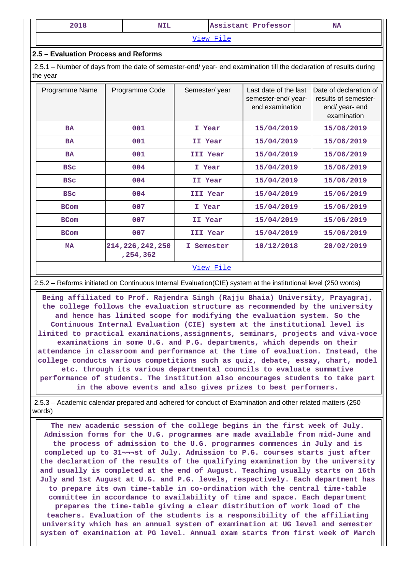|--|

[View File](https://assessmentonline.naac.gov.in/public/Postacc/Honours_recieved/6343_Honours_recieved_1598188948.xlsx)

#### **2.5 – Evaluation Process and Reforms**

 2.5.1 – Number of days from the date of semester-end/ year- end examination till the declaration of results during the year

| Programme Name | Programme Code                   | Semester/year    | Last date of the last<br>semester-end/ year-<br>end examination | Date of declaration of<br>results of semester-<br>end/ year- end<br>examination |
|----------------|----------------------------------|------------------|-----------------------------------------------------------------|---------------------------------------------------------------------------------|
| <b>BA</b>      | 001                              | I Year           | 15/04/2019                                                      | 15/06/2019                                                                      |
| <b>BA</b>      | 001                              | II Year          | 15/04/2019                                                      | 15/06/2019                                                                      |
| <b>BA</b>      | 001                              | III Year         | 15/04/2019                                                      | 15/06/2019                                                                      |
| <b>BSC</b>     | 004                              | I Year           | 15/04/2019                                                      | 15/06/2019                                                                      |
| <b>BSC</b>     | 004                              | II Year          | 15/04/2019                                                      | 15/06/2019                                                                      |
| <b>BSC</b>     | 004                              | III Year         | 15/04/2019                                                      | 15/06/2019                                                                      |
| <b>BCom</b>    | 007                              | I Year           | 15/04/2019                                                      | 15/06/2019                                                                      |
| <b>BCom</b>    | 007                              | II Year          | 15/04/2019                                                      | 15/06/2019                                                                      |
| <b>BCom</b>    | 007                              | III Year         | 15/04/2019                                                      | 15/06/2019                                                                      |
| <b>MA</b>      | 214, 226, 242, 250<br>, 254, 362 | I Semester       | 10/12/2018                                                      | 20/02/2019                                                                      |
|                |                                  | <u>View File</u> |                                                                 |                                                                                 |

### 2.5.2 – Reforms initiated on Continuous Internal Evaluation(CIE) system at the institutional level (250 words)

 **Being affiliated to Prof. Rajendra Singh (Rajju Bhaia) University, Prayagraj, the college follows the evaluation structure as recommended by the university and hence has limited scope for modifying the evaluation system. So the Continuous Internal Evaluation (CIE) system at the institutional level is limited to practical examinations,assignments, seminars, projects and viva-voce examinations in some U.G. and P.G. departments, which depends on their attendance in classroom and performance at the time of evaluation. Instead, the college conducts various competitions such as quiz, debate, essay, chart, model etc. through its various departmental councils to evaluate summative performance of students. The institution also encourages students to take part in the above events and also gives prizes to best performers.**

 2.5.3 – Academic calendar prepared and adhered for conduct of Examination and other related matters (250 words)

 **The new academic session of the college begins in the first week of July. Admission forms for the U.G. programmes are made available from mid-June and the process of admission to the U.G. programmes commences in July and is completed up to 31¬¬¬st of July. Admission to P.G. courses starts just after the declaration of the results of the qualifying examination by the university and usually is completed at the end of August. Teaching usually starts on 16th July and 1st August at U.G. and P.G. levels, respectively. Each department has to prepare its own time-table in co-ordination with the central time-table committee in accordance to availability of time and space. Each department prepares the time-table giving a clear distribution of work load of the teachers. Evaluation of the students is a responsibility of the affiliating university which has an annual system of examination at UG level and semester system of examination at PG level. Annual exam starts from first week of March**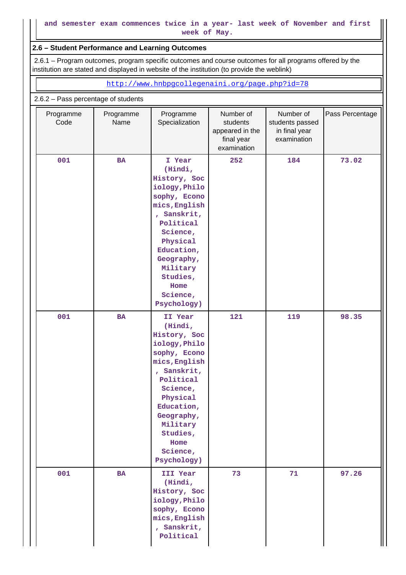### **2.6 – Student Performance and Learning Outcomes**

 2.6.1 – Program outcomes, program specific outcomes and course outcomes for all programs offered by the institution are stated and displayed in website of the institution (to provide the weblink)

<http://www.hnbpgcollegenaini.org/page.php?id=78>

#### 2.6.2 – Pass percentage of students

| Programme<br>Code | Programme<br>Name | Programme<br>Specialization                                                                                                                                                                                                     | Number of<br>students<br>appeared in the<br>final year<br>examination | Number of<br>students passed<br>in final year<br>examination | Pass Percentage |
|-------------------|-------------------|---------------------------------------------------------------------------------------------------------------------------------------------------------------------------------------------------------------------------------|-----------------------------------------------------------------------|--------------------------------------------------------------|-----------------|
| 001               | <b>BA</b>         | I Year<br>(Hindi,<br>History, Soc<br>iology, Philo<br>sophy, Econo<br>mics, English<br>, Sanskrit,<br>Political<br>Science,<br>Physical<br>Education,<br>Geography,<br>Military<br>Studies,<br>Home<br>Science,<br>Psychology)  | 252                                                                   | 184                                                          | 73.02           |
| 001               | <b>BA</b>         | II Year<br>(Hindi,<br>History, Soc<br>iology, Philo<br>sophy, Econo<br>mics, English<br>, Sanskrit,<br>Political<br>Science,<br>Physical<br>Education,<br>Geography,<br>Military<br>Studies,<br>Home<br>Science,<br>Psychology) | 121                                                                   | 119                                                          | 98.35           |
| 001               | <b>BA</b>         | III Year<br>(Hindi,<br>History, Soc<br>iology, Philo<br>sophy, Econo<br>mics, English<br>, Sanskrit,<br>Political                                                                                                               | 73                                                                    | 71                                                           | 97.26           |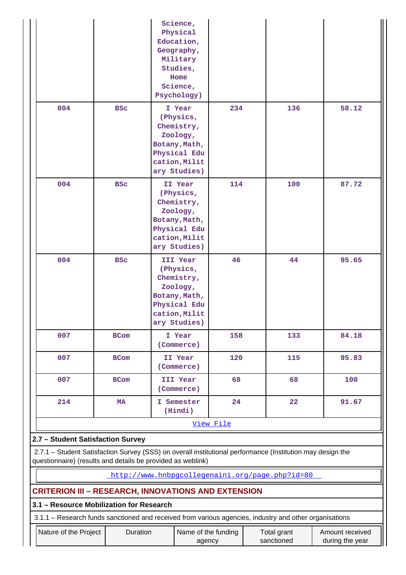|                                   |             | Science,<br>Physical<br>Education,<br>Geography,<br>Military<br>Studies,<br>Home<br>Science,<br>Psychology)       |           |                                                                                                            |       |  |  |  |  |  |  |  |
|-----------------------------------|-------------|-------------------------------------------------------------------------------------------------------------------|-----------|------------------------------------------------------------------------------------------------------------|-------|--|--|--|--|--|--|--|
| 004                               | <b>BSC</b>  | I Year<br>(Physics,<br>Chemistry,<br>Zoology,<br>Botany, Math,<br>Physical Edu<br>cation, Milit<br>ary Studies)   | 234       | 136                                                                                                        | 58.12 |  |  |  |  |  |  |  |
| 004                               | <b>BSC</b>  | II Year<br>(Physics,<br>Chemistry,<br>Zoology,<br>Botany, Math,<br>Physical Edu<br>cation, Milit<br>ary Studies)  | 114       | 100                                                                                                        | 87.72 |  |  |  |  |  |  |  |
| 004                               | <b>BSC</b>  | III Year<br>(Physics,<br>Chemistry,<br>Zoology,<br>Botany, Math,<br>Physical Edu<br>cation, Milit<br>ary Studies) | 46        | 44                                                                                                         | 95.65 |  |  |  |  |  |  |  |
| 007                               | <b>BCom</b> | I Year<br>(Commerce)                                                                                              | 158       | 133                                                                                                        | 84.18 |  |  |  |  |  |  |  |
| 007                               | <b>BCom</b> | II Year<br>(Commerce)                                                                                             | 120       | 115                                                                                                        | 95.83 |  |  |  |  |  |  |  |
| 007                               | BCom        | III Year<br>(Commerce)                                                                                            | 68        | 68                                                                                                         | 100   |  |  |  |  |  |  |  |
| 214                               | MA          | I Semester<br>(Hindi)                                                                                             | 24        | 22                                                                                                         | 91.67 |  |  |  |  |  |  |  |
|                                   |             |                                                                                                                   | View File |                                                                                                            |       |  |  |  |  |  |  |  |
| 2.7 - Student Satisfaction Survey |             |                                                                                                                   |           |                                                                                                            |       |  |  |  |  |  |  |  |
|                                   |             |                                                                                                                   |           | 2.7.1 - Student Satisfaction Survey (SSS) on overall institutional performance (Institution may design the |       |  |  |  |  |  |  |  |

questionnaire) (results and details be provided as weblink)

<http://www.hnbpgcollegenaini.org/page.php?id=80>

# **CRITERION III – RESEARCH, INNOVATIONS AND EXTENSION**

# **3.1 – Resource Mobilization for Research**

3.1.1 – Research funds sanctioned and received from various agencies, industry and other organisations

| ∟Nature of the Proiect | Duration | Name of the funding | Total grant | Amount received |
|------------------------|----------|---------------------|-------------|-----------------|
|                        |          |                     |             |                 |
|                        |          | agency              | sanctioned  | during the year |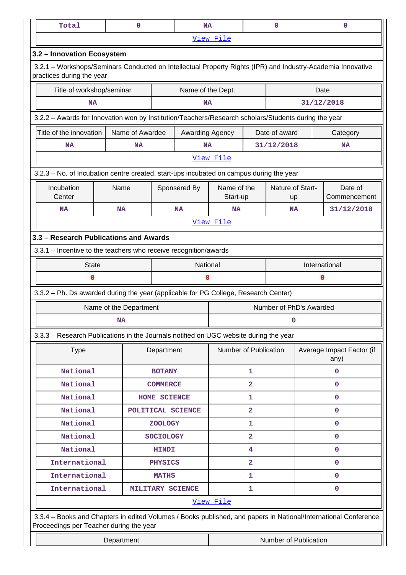| Total                                                                                                                                    |            | 0                      |                  | <b>NA</b>         |                         |                         | $\mathbf 0$             |                                   | $\mathbf 0$                                                                                                     |
|------------------------------------------------------------------------------------------------------------------------------------------|------------|------------------------|------------------|-------------------|-------------------------|-------------------------|-------------------------|-----------------------------------|-----------------------------------------------------------------------------------------------------------------|
|                                                                                                                                          |            |                        |                  |                   | View File               |                         |                         |                                   |                                                                                                                 |
| 3.2 - Innovation Ecosystem                                                                                                               |            |                        |                  |                   |                         |                         |                         |                                   |                                                                                                                 |
| 3.2.1 – Workshops/Seminars Conducted on Intellectual Property Rights (IPR) and Industry-Academia Innovative<br>practices during the year |            |                        |                  |                   |                         |                         |                         |                                   |                                                                                                                 |
| Title of workshop/seminar                                                                                                                |            |                        |                  | Name of the Dept. |                         |                         |                         |                                   | Date                                                                                                            |
| <b>NA</b>                                                                                                                                |            |                        |                  | <b>NA</b>         |                         |                         |                         |                                   | 31/12/2018                                                                                                      |
| 3.2.2 - Awards for Innovation won by Institution/Teachers/Research scholars/Students during the year                                     |            |                        |                  |                   |                         |                         |                         |                                   |                                                                                                                 |
| Title of the innovation<br>Name of Awardee                                                                                               |            |                        |                  | Awarding Agency   |                         |                         | Date of award           |                                   | Category                                                                                                        |
| <b>NA</b>                                                                                                                                |            | <b>NA</b>              |                  | <b>NA</b>         |                         |                         | 31/12/2018              |                                   | <b>NA</b>                                                                                                       |
|                                                                                                                                          |            |                        |                  |                   | View File               |                         |                         |                                   |                                                                                                                 |
| 3.2.3 - No. of Incubation centre created, start-ups incubated on campus during the year                                                  |            |                        |                  |                   |                         |                         |                         |                                   |                                                                                                                 |
| Incubation<br>Center                                                                                                                     | Name       |                        |                  | Sponsered By      | Name of the<br>Start-up |                         | Nature of Start-<br>up  |                                   | Date of<br>Commencement                                                                                         |
| <b>NA</b>                                                                                                                                | <b>NA</b>  |                        |                  | <b>NA</b>         | NA                      |                         | <b>NA</b>               |                                   | 31/12/2018                                                                                                      |
|                                                                                                                                          |            |                        |                  |                   | View File               |                         |                         |                                   |                                                                                                                 |
| 3.3 - Research Publications and Awards                                                                                                   |            |                        |                  |                   |                         |                         |                         |                                   |                                                                                                                 |
| 3.3.1 - Incentive to the teachers who receive recognition/awards                                                                         |            |                        |                  |                   |                         |                         |                         |                                   |                                                                                                                 |
| <b>State</b>                                                                                                                             |            |                        |                  | National          |                         |                         |                         |                                   | International                                                                                                   |
| 0                                                                                                                                        |            |                        |                  | 0                 |                         |                         |                         |                                   | 0                                                                                                               |
| 3.3.2 - Ph. Ds awarded during the year (applicable for PG College, Research Center)                                                      |            |                        |                  |                   |                         |                         |                         |                                   |                                                                                                                 |
|                                                                                                                                          |            | Name of the Department |                  |                   |                         |                         | Number of PhD's Awarded |                                   |                                                                                                                 |
|                                                                                                                                          | <b>NA</b>  |                        |                  | 0                 |                         |                         |                         |                                   |                                                                                                                 |
| 3.3.3 - Research Publications in the Journals notified on UGC website during the year                                                    |            |                        |                  |                   |                         |                         |                         |                                   |                                                                                                                 |
| <b>Type</b>                                                                                                                              |            |                        | Department       |                   | Number of Publication   |                         |                         | Average Impact Factor (if<br>any) |                                                                                                                 |
| National                                                                                                                                 |            |                        | <b>BOTANY</b>    |                   | $\mathbf{1}$            |                         |                         |                                   | 0                                                                                                               |
| National                                                                                                                                 |            |                        | <b>COMMERCE</b>  |                   |                         | $\mathbf{2}$            |                         |                                   | $\mathbf 0$                                                                                                     |
| National                                                                                                                                 |            |                        | HOME SCIENCE     |                   |                         | 1                       |                         |                                   | $\mathbf 0$                                                                                                     |
| National                                                                                                                                 |            |                        |                  | POLITICAL SCIENCE |                         | $\overline{\mathbf{2}}$ |                         |                                   | $\mathbf 0$                                                                                                     |
| National                                                                                                                                 |            |                        | <b>ZOOLOGY</b>   |                   |                         | 1                       |                         |                                   | $\mathbf 0$                                                                                                     |
| National                                                                                                                                 |            |                        | <b>SOCIOLOGY</b> |                   |                         | $\overline{a}$          |                         |                                   | $\mathbf 0$                                                                                                     |
| National                                                                                                                                 |            | <b>HINDI</b>           |                  |                   | 4                       |                         |                         | $\mathbf 0$                       |                                                                                                                 |
| International                                                                                                                            |            | <b>PHYSICS</b>         |                  |                   | $\mathbf{2}$            |                         |                         | $\mathbf 0$                       |                                                                                                                 |
| International                                                                                                                            |            |                        | <b>MATHS</b>     |                   |                         | 1                       |                         |                                   | $\mathbf 0$                                                                                                     |
| International                                                                                                                            |            |                        |                  | MILITARY SCIENCE  |                         | 1                       |                         |                                   | $\mathbf 0$                                                                                                     |
|                                                                                                                                          |            |                        |                  |                   | View File               |                         |                         |                                   |                                                                                                                 |
| Proceedings per Teacher during the year                                                                                                  |            |                        |                  |                   |                         |                         |                         |                                   | 3.3.4 - Books and Chapters in edited Volumes / Books published, and papers in National/International Conference |
|                                                                                                                                          | Department |                        |                  |                   |                         |                         | Number of Publication   |                                   |                                                                                                                 |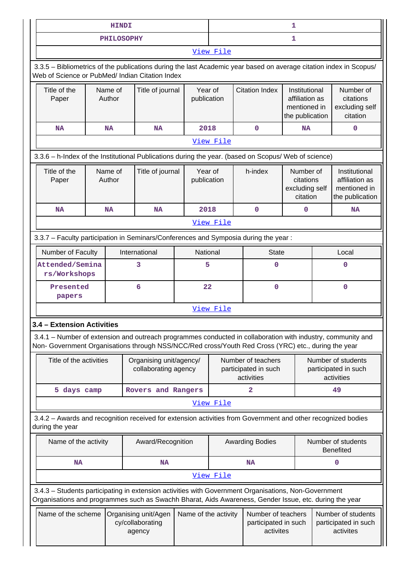|                                                                                                                                                                                                                    |  | <b>HINDI</b>      |                                                    |                        | 1                                                        |                                                         |                                                                    |                                                          |                                                                    |
|--------------------------------------------------------------------------------------------------------------------------------------------------------------------------------------------------------------------|--|-------------------|----------------------------------------------------|------------------------|----------------------------------------------------------|---------------------------------------------------------|--------------------------------------------------------------------|----------------------------------------------------------|--------------------------------------------------------------------|
|                                                                                                                                                                                                                    |  | <b>PHILOSOPHY</b> |                                                    |                        |                                                          |                                                         | 1                                                                  |                                                          |                                                                    |
|                                                                                                                                                                                                                    |  |                   |                                                    |                        | View File                                                |                                                         |                                                                    |                                                          |                                                                    |
| 3.3.5 - Bibliometrics of the publications during the last Academic year based on average citation index in Scopus/<br>Web of Science or PubMed/ Indian Citation Index                                              |  |                   |                                                    |                        |                                                          |                                                         |                                                                    |                                                          |                                                                    |
| Title of the<br>Paper                                                                                                                                                                                              |  | Name of<br>Author | Title of journal                                   | Year of<br>publication |                                                          | <b>Citation Index</b>                                   | Institutional<br>affiliation as<br>mentioned in<br>the publication |                                                          | Number of<br>citations<br>excluding self<br>citation               |
| <b>NA</b>                                                                                                                                                                                                          |  | <b>NA</b>         | <b>NA</b>                                          | 2018                   |                                                          | 0                                                       | <b>NA</b>                                                          |                                                          | $\mathbf 0$                                                        |
| View File                                                                                                                                                                                                          |  |                   |                                                    |                        |                                                          |                                                         |                                                                    |                                                          |                                                                    |
| 3.3.6 - h-Index of the Institutional Publications during the year. (based on Scopus/ Web of science)                                                                                                               |  |                   |                                                    |                        |                                                          |                                                         |                                                                    |                                                          |                                                                    |
| Title of the<br>Paper                                                                                                                                                                                              |  | Name of<br>Author | Title of journal                                   | Year of<br>publication |                                                          | h-index                                                 | Number of<br>citations<br>excluding self<br>citation               |                                                          | Institutional<br>affiliation as<br>mentioned in<br>the publication |
| <b>NA</b>                                                                                                                                                                                                          |  | <b>NA</b>         | <b>NA</b>                                          | 2018                   |                                                          | $\mathbf 0$                                             | $\mathbf 0$                                                        |                                                          | <b>NA</b>                                                          |
|                                                                                                                                                                                                                    |  |                   |                                                    |                        | View File                                                |                                                         |                                                                    |                                                          |                                                                    |
| 3.3.7 - Faculty participation in Seminars/Conferences and Symposia during the year:                                                                                                                                |  |                   |                                                    |                        |                                                          |                                                         |                                                                    |                                                          |                                                                    |
| Number of Faculty                                                                                                                                                                                                  |  |                   | International<br>National                          |                        |                                                          | <b>State</b>                                            |                                                                    | Local                                                    |                                                                    |
| Attended/Semina<br>rs/Workshops                                                                                                                                                                                    |  |                   | 3                                                  | 5                      |                                                          | 0                                                       |                                                                    |                                                          | $\mathbf 0$                                                        |
| Presented<br>papers                                                                                                                                                                                                |  |                   | 6                                                  | 22                     |                                                          | 0                                                       |                                                                    |                                                          | $\mathbf 0$                                                        |
|                                                                                                                                                                                                                    |  |                   |                                                    |                        | View File                                                |                                                         |                                                                    |                                                          |                                                                    |
| 3.4<br>- Extension Activities                                                                                                                                                                                      |  |                   |                                                    |                        |                                                          |                                                         |                                                                    |                                                          |                                                                    |
| 3.4.1 - Number of extension and outreach programmes conducted in collaboration with industry, community and<br>Non- Government Organisations through NSS/NCC/Red cross/Youth Red Cross (YRC) etc., during the year |  |                   |                                                    |                        |                                                          |                                                         |                                                                    |                                                          |                                                                    |
| Title of the activities                                                                                                                                                                                            |  |                   | Organising unit/agency/<br>collaborating agency    |                        | Number of teachers<br>participated in such<br>activities |                                                         |                                                                    | Number of students<br>participated in such<br>activities |                                                                    |
| 5 days camp                                                                                                                                                                                                        |  |                   | Rovers and Rangers                                 |                        | $\overline{a}$                                           |                                                         |                                                                    |                                                          | 49                                                                 |
|                                                                                                                                                                                                                    |  |                   |                                                    |                        | View File                                                |                                                         |                                                                    |                                                          |                                                                    |
| 3.4.2 - Awards and recognition received for extension activities from Government and other recognized bodies<br>during the year                                                                                    |  |                   |                                                    |                        |                                                          |                                                         |                                                                    |                                                          |                                                                    |
| Name of the activity                                                                                                                                                                                               |  |                   | Award/Recognition                                  |                        |                                                          | <b>Awarding Bodies</b>                                  |                                                                    |                                                          | Number of students<br><b>Benefited</b>                             |
| <b>NA</b>                                                                                                                                                                                                          |  |                   | <b>NA</b>                                          |                        |                                                          | <b>NA</b>                                               |                                                                    |                                                          | 0                                                                  |
|                                                                                                                                                                                                                    |  |                   |                                                    |                        | View File                                                |                                                         |                                                                    |                                                          |                                                                    |
| 3.4.3 - Students participating in extension activities with Government Organisations, Non-Government<br>Organisations and programmes such as Swachh Bharat, Aids Awareness, Gender Issue, etc. during the year     |  |                   |                                                    |                        |                                                          |                                                         |                                                                    |                                                          |                                                                    |
| Name of the scheme                                                                                                                                                                                                 |  |                   | Organising unit/Agen<br>cy/collaborating<br>agency | Name of the activity   |                                                          | Number of teachers<br>participated in such<br>activites |                                                                    |                                                          | Number of students<br>participated in such<br>activites            |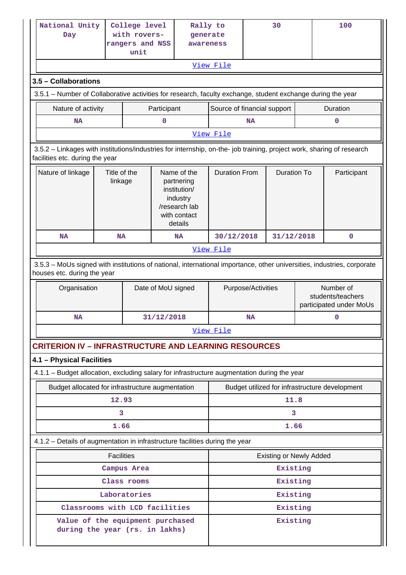|                                                                                                                                                       | National Unity<br>Day                                                                                                                                    |                   | College level<br>with rovers-<br>rangers and NSS<br>unit |                    | Rally to<br>generate<br>awareness                                                                 | View File                                                                                                                                  |      | 30                             |                                                           | 100                                            |
|-------------------------------------------------------------------------------------------------------------------------------------------------------|----------------------------------------------------------------------------------------------------------------------------------------------------------|-------------------|----------------------------------------------------------|--------------------|---------------------------------------------------------------------------------------------------|--------------------------------------------------------------------------------------------------------------------------------------------|------|--------------------------------|-----------------------------------------------------------|------------------------------------------------|
|                                                                                                                                                       |                                                                                                                                                          |                   |                                                          |                    |                                                                                                   |                                                                                                                                            |      |                                |                                                           |                                                |
|                                                                                                                                                       | 3.5 - Collaborations                                                                                                                                     |                   |                                                          |                    |                                                                                                   |                                                                                                                                            |      |                                |                                                           |                                                |
|                                                                                                                                                       | Nature of activity                                                                                                                                       |                   |                                                          | Participant        |                                                                                                   | 3.5.1 – Number of Collaborative activities for research, faculty exchange, student exchange during the year<br>Source of financial support |      |                                |                                                           | Duration                                       |
|                                                                                                                                                       | <b>NA</b>                                                                                                                                                |                   | 0                                                        |                    |                                                                                                   | NA                                                                                                                                         |      |                                | 0                                                         |                                                |
|                                                                                                                                                       |                                                                                                                                                          |                   |                                                          |                    |                                                                                                   | View File                                                                                                                                  |      |                                |                                                           |                                                |
|                                                                                                                                                       | 3.5.2 - Linkages with institutions/industries for internship, on-the- job training, project work, sharing of research<br>facilities etc. during the year |                   |                                                          |                    |                                                                                                   |                                                                                                                                            |      |                                |                                                           |                                                |
|                                                                                                                                                       | Title of the<br>Nature of linkage<br>linkage                                                                                                             |                   |                                                          |                    | Name of the<br>partnering<br>institution/<br>industry<br>/research lab<br>with contact<br>details | <b>Duration From</b>                                                                                                                       |      | <b>Duration To</b>             |                                                           | Participant                                    |
|                                                                                                                                                       | <b>NA</b>                                                                                                                                                | NA                |                                                          |                    | <b>NA</b>                                                                                         | 30/12/2018                                                                                                                                 |      | 31/12/2018                     |                                                           | 0                                              |
|                                                                                                                                                       |                                                                                                                                                          |                   |                                                          |                    |                                                                                                   | View File                                                                                                                                  |      |                                |                                                           |                                                |
| 3.5.3 - MoUs signed with institutions of national, international importance, other universities, industries, corporate<br>houses etc. during the year |                                                                                                                                                          |                   |                                                          |                    |                                                                                                   |                                                                                                                                            |      |                                |                                                           |                                                |
|                                                                                                                                                       | Organisation                                                                                                                                             |                   |                                                          | Date of MoU signed |                                                                                                   | Purpose/Activities                                                                                                                         |      |                                | Number of<br>students/teachers<br>participated under MoUs |                                                |
|                                                                                                                                                       | <b>NA</b>                                                                                                                                                |                   |                                                          | 31/12/2018         |                                                                                                   | <b>NA</b>                                                                                                                                  |      |                                | 0                                                         |                                                |
|                                                                                                                                                       |                                                                                                                                                          |                   |                                                          |                    |                                                                                                   | View File                                                                                                                                  |      |                                |                                                           |                                                |
|                                                                                                                                                       | <b>CRITERION IV - INFRASTRUCTURE AND LEARNING RESOURCES</b>                                                                                              |                   |                                                          |                    |                                                                                                   |                                                                                                                                            |      |                                |                                                           |                                                |
|                                                                                                                                                       | 4.1 - Physical Facilities                                                                                                                                |                   |                                                          |                    |                                                                                                   |                                                                                                                                            |      |                                |                                                           |                                                |
|                                                                                                                                                       | 4.1.1 - Budget allocation, excluding salary for infrastructure augmentation during the year                                                              |                   |                                                          |                    |                                                                                                   |                                                                                                                                            |      |                                |                                                           |                                                |
|                                                                                                                                                       | Budget allocated for infrastructure augmentation                                                                                                         |                   |                                                          |                    |                                                                                                   |                                                                                                                                            |      |                                |                                                           | Budget utilized for infrastructure development |
|                                                                                                                                                       |                                                                                                                                                          | 12.93             |                                                          |                    |                                                                                                   |                                                                                                                                            | 11.8 |                                |                                                           |                                                |
|                                                                                                                                                       | 3                                                                                                                                                        |                   |                                                          |                    | 3.                                                                                                |                                                                                                                                            |      |                                |                                                           |                                                |
|                                                                                                                                                       |                                                                                                                                                          |                   |                                                          |                    |                                                                                                   |                                                                                                                                            |      |                                |                                                           |                                                |
|                                                                                                                                                       |                                                                                                                                                          | 1.66              |                                                          |                    |                                                                                                   |                                                                                                                                            |      | 1.66                           |                                                           |                                                |
|                                                                                                                                                       | 4.1.2 - Details of augmentation in infrastructure facilities during the year                                                                             |                   |                                                          |                    |                                                                                                   |                                                                                                                                            |      |                                |                                                           |                                                |
|                                                                                                                                                       |                                                                                                                                                          | <b>Facilities</b> |                                                          |                    |                                                                                                   |                                                                                                                                            |      | <b>Existing or Newly Added</b> |                                                           |                                                |
|                                                                                                                                                       |                                                                                                                                                          |                   | Campus Area                                              |                    |                                                                                                   |                                                                                                                                            |      | Existing                       |                                                           |                                                |
|                                                                                                                                                       |                                                                                                                                                          |                   | Class rooms                                              |                    |                                                                                                   |                                                                                                                                            |      | Existing                       |                                                           |                                                |
|                                                                                                                                                       | Classrooms with LCD facilities                                                                                                                           |                   | Laboratories                                             |                    |                                                                                                   |                                                                                                                                            |      | Existing<br>Existing           |                                                           |                                                |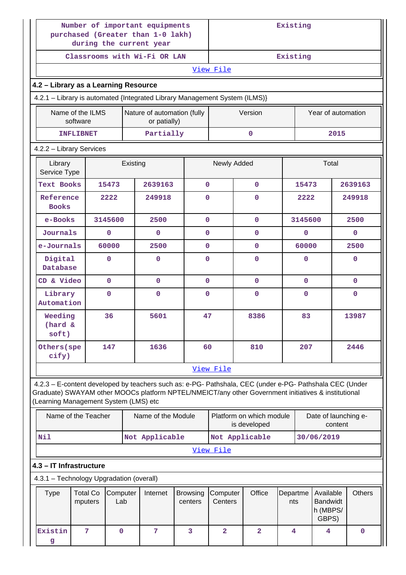|                                                                                                                                                                                                                                                         | Number of important equipments<br>purchased (Greater than 1-0 lakh)<br>during the current year |                 |          |                                             |                            |                         |                                          | Existing        |              |                                                   |               |  |
|---------------------------------------------------------------------------------------------------------------------------------------------------------------------------------------------------------------------------------------------------------|------------------------------------------------------------------------------------------------|-----------------|----------|---------------------------------------------|----------------------------|-------------------------|------------------------------------------|-----------------|--------------|---------------------------------------------------|---------------|--|
|                                                                                                                                                                                                                                                         |                                                                                                |                 |          | Classrooms with Wi-Fi OR LAN                |                            | Existing                |                                          |                 |              |                                                   |               |  |
|                                                                                                                                                                                                                                                         |                                                                                                |                 |          |                                             |                            | View File               |                                          |                 |              |                                                   |               |  |
| 4.2 - Library as a Learning Resource                                                                                                                                                                                                                    |                                                                                                |                 |          |                                             |                            |                         |                                          |                 |              |                                                   |               |  |
| 4.2.1 - Library is automated {Integrated Library Management System (ILMS)}                                                                                                                                                                              |                                                                                                |                 |          |                                             |                            |                         |                                          |                 |              |                                                   |               |  |
|                                                                                                                                                                                                                                                         | Name of the ILMS<br>software                                                                   |                 |          | Nature of automation (fully<br>or patially) |                            |                         | Version                                  |                 |              | Year of automation                                |               |  |
| <b>INFLIBNET</b>                                                                                                                                                                                                                                        |                                                                                                |                 |          | Partially                                   |                            |                         | $\mathbf 0$                              |                 |              | 2015                                              |               |  |
| 4.2.2 - Library Services                                                                                                                                                                                                                                |                                                                                                |                 |          |                                             |                            |                         |                                          |                 |              |                                                   |               |  |
| Library<br>Service Type                                                                                                                                                                                                                                 |                                                                                                |                 | Existing |                                             |                            | Newly Added             |                                          |                 |              | Total                                             |               |  |
| <b>Text Books</b>                                                                                                                                                                                                                                       |                                                                                                | 15473           |          | 2639163                                     | $\mathbf{O}$               |                         | $\mathbf 0$                              |                 | 15473        |                                                   | 2639163       |  |
| Reference<br><b>Books</b>                                                                                                                                                                                                                               |                                                                                                | 2222            |          | 249918                                      | $\mathbf{0}$               |                         | 0                                        |                 | 2222         |                                                   | 249918        |  |
| e-Books                                                                                                                                                                                                                                                 |                                                                                                | 3145600         |          | 2500                                        | $\mathbf{O}$               |                         | $\mathbf{0}$                             |                 | 3145600      |                                                   | 2500          |  |
| Journals                                                                                                                                                                                                                                                |                                                                                                | 0               |          | $\mathbf 0$                                 | $\mathbf{0}$               |                         | 0                                        |                 | $\mathbf 0$  |                                                   | 0             |  |
| e-Journals                                                                                                                                                                                                                                              |                                                                                                | 60000           |          | 2500                                        | $\mathbf{O}$               |                         | $\mathbf{O}$                             |                 | 60000        |                                                   | 2500          |  |
| Digital<br>Database                                                                                                                                                                                                                                     |                                                                                                | 0               |          | $\mathbf 0$                                 | $\Omega$                   |                         | $\mathbf{0}$                             |                 | $\mathbf 0$  |                                                   | 0             |  |
| CD & Video                                                                                                                                                                                                                                              |                                                                                                | $\mathbf 0$     |          | $\mathbf{0}$                                | $\mathbf{O}$               |                         | $\mathbf{0}$                             |                 | $\mathbf{0}$ |                                                   | $\mathbf{0}$  |  |
| Library<br>Automation                                                                                                                                                                                                                                   |                                                                                                | 0               |          | $\mathbf 0$                                 | $\mathbf{0}$               |                         | $\mathbf 0$                              |                 | $\mathbf 0$  |                                                   | $\mathbf 0$   |  |
| Weeding<br>(hard &<br>soft)                                                                                                                                                                                                                             |                                                                                                | 36              |          | 5601                                        | 47                         |                         | 8386                                     |                 | 83           |                                                   | 13987         |  |
| Others (spe<br>cify)                                                                                                                                                                                                                                    |                                                                                                | 147             |          | 1636                                        | 60                         |                         | 810                                      |                 | 207          |                                                   | 2446          |  |
|                                                                                                                                                                                                                                                         |                                                                                                |                 |          |                                             |                            | View File               |                                          |                 |              |                                                   |               |  |
| 4.2.3 - E-content developed by teachers such as: e-PG- Pathshala, CEC (under e-PG- Pathshala CEC (Under<br>Graduate) SWAYAM other MOOCs platform NPTEL/NMEICT/any other Government initiatives & institutional<br>(Learning Management System (LMS) etc |                                                                                                |                 |          |                                             |                            |                         |                                          |                 |              |                                                   |               |  |
| Name of the Teacher                                                                                                                                                                                                                                     |                                                                                                |                 |          | Name of the Module                          |                            |                         | Platform on which module<br>is developed |                 |              | Date of launching e-<br>content                   |               |  |
| Nil                                                                                                                                                                                                                                                     |                                                                                                |                 |          | Not Applicable                              |                            |                         | Not Applicable                           |                 |              | 30/06/2019                                        |               |  |
|                                                                                                                                                                                                                                                         |                                                                                                |                 |          |                                             |                            | View File               |                                          |                 |              |                                                   |               |  |
| 4.3 - IT Infrastructure                                                                                                                                                                                                                                 |                                                                                                |                 |          |                                             |                            |                         |                                          |                 |              |                                                   |               |  |
| 4.3.1 - Technology Upgradation (overall)                                                                                                                                                                                                                |                                                                                                |                 |          |                                             |                            |                         |                                          |                 |              |                                                   |               |  |
| <b>Type</b>                                                                                                                                                                                                                                             | <b>Total Co</b><br>mputers                                                                     | Computer<br>Lab |          | Internet                                    | <b>Browsing</b><br>centers | Computer<br>Centers     | Office                                   | Departme<br>nts |              | Available<br><b>Bandwidt</b><br>h (MBPS/<br>GBPS) | <b>Others</b> |  |
| Existin<br>g                                                                                                                                                                                                                                            | 7                                                                                              | $\mathbf 0$     |          | 7                                           | 3                          | $\overline{\mathbf{2}}$ | $\overline{a}$                           | 4               |              | $\overline{4}$                                    | $\mathbf 0$   |  |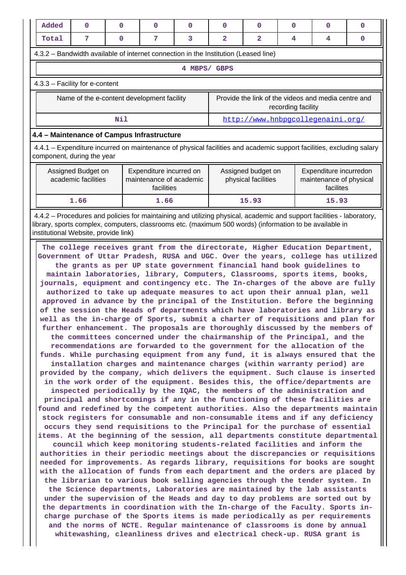| Added                                                                               | 0                                                                                                                                                  | $\Omega$ | 0                                                                | 0 | 0                                                                         | $\Omega$                                  | 0 | 0                                                              | 0 |  |
|-------------------------------------------------------------------------------------|----------------------------------------------------------------------------------------------------------------------------------------------------|----------|------------------------------------------------------------------|---|---------------------------------------------------------------------------|-------------------------------------------|---|----------------------------------------------------------------|---|--|
| Total                                                                               | 7                                                                                                                                                  | $\Omega$ | 7                                                                | 3 | 2                                                                         | 2                                         | 4 | 4                                                              | 0 |  |
| 4.3.2 – Bandwidth available of internet connection in the Institution (Leased line) |                                                                                                                                                    |          |                                                                  |   |                                                                           |                                           |   |                                                                |   |  |
|                                                                                     |                                                                                                                                                    |          |                                                                  | 4 | MBPS/ GBPS                                                                |                                           |   |                                                                |   |  |
| $4.3.3$ – Facility for e-content                                                    |                                                                                                                                                    |          |                                                                  |   |                                                                           |                                           |   |                                                                |   |  |
|                                                                                     | Name of the e-content development facility                                                                                                         |          |                                                                  |   | Provide the link of the videos and media centre and<br>recording facility |                                           |   |                                                                |   |  |
|                                                                                     |                                                                                                                                                    | Nil      |                                                                  |   | http://www.hnbpgcollegenaini.org/                                         |                                           |   |                                                                |   |  |
| 4.4 - Maintenance of Campus Infrastructure                                          |                                                                                                                                                    |          |                                                                  |   |                                                                           |                                           |   |                                                                |   |  |
|                                                                                     | 4.4.1 – Expenditure incurred on maintenance of physical facilities and academic support facilities, excluding salary<br>component, during the year |          |                                                                  |   |                                                                           |                                           |   |                                                                |   |  |
|                                                                                     | Assigned Budget on<br>academic facilities                                                                                                          |          | Expenditure incurred on<br>maintenance of academic<br>facilities |   |                                                                           | Assigned budget on<br>physical facilities |   | Expenditure incurredon<br>maintenance of physical<br>facilites |   |  |

 4.4.2 – Procedures and policies for maintaining and utilizing physical, academic and support facilities - laboratory, library, sports complex, computers, classrooms etc. (maximum 500 words) (information to be available in institutional Website, provide link)

**1.66 1.66 15.93 15.93**

 **The college receives grant from the directorate, Higher Education Department, Government of Uttar Pradesh, RUSA and UGC. Over the years, college has utilized the grants as per UP state government financial hand book guidelines to maintain laboratories, library, Computers, Classrooms, sports items, books, journals, equipment and contingency etc. The In-charges of the above are fully authorized to take up adequate measures to act upon their annual plan, well approved in advance by the principal of the Institution. Before the beginning of the session the Heads of departments which have laboratories and library as well as the in-charge of Sports, submit a charter of requisitions and plan for further enhancement. The proposals are thoroughly discussed by the members of the committees concerned under the chairmanship of the Principal, and the recommendations are forwarded to the government for the allocation of the funds. While purchasing equipment from any fund, it is always ensured that the installation charges and maintenance charges (within warranty period) are provided by the company, which delivers the equipment. Such clause is inserted in the work order of the equipment. Besides this, the office/departments are inspected periodically by the IQAC, the members of the administration and principal and shortcomings if any in the functioning of these facilities are found and redefined by the competent authorities. Also the departments maintain stock registers for consumable and non-consumable items and if any deficiency occurs they send requisitions to the Principal for the purchase of essential items. At the beginning of the session, all departments constitute departmental council which keep monitoring students-related facilities and inform the authorities in their periodic meetings about the discrepancies or requisitions needed for improvements. As regards library, requisitions for books are sought with the allocation of funds from each department and the orders are placed by the librarian to various book selling agencies through the tender system. In the Science departments, Laboratories are maintained by the lab assistants under the supervision of the Heads and day to day problems are sorted out by the departments in coordination with the In-charge of the Faculty. Sports incharge purchase of the Sports items is made periodically as per requirements and the norms of NCTE. Regular maintenance of classrooms is done by annual whitewashing, cleanliness drives and electrical check-up. RUSA grant is**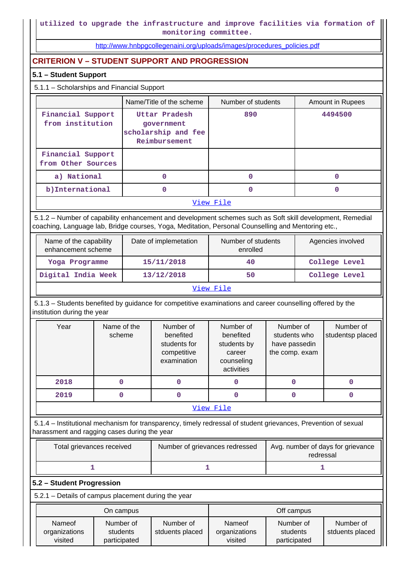[http://www.hnbpgcollegenaini.org/uploads/images/procedures\\_policies.pdf](http://www.hnbpgcollegenaini.org/uploads/images/procedures_policies.pdf)

# **CRITERION V – STUDENT SUPPORT AND PROGRESSION**

# **5.1 – Student Support**

# 5.1.1 – Scholarships and Financial Support

|                                         | Name/Title of the scheme                                            | Number of students | Amount in Rupees |  |  |  |
|-----------------------------------------|---------------------------------------------------------------------|--------------------|------------------|--|--|--|
| Financial Support<br>from institution   | Uttar Pradesh<br>government<br>scholarship and fee<br>Reimbursement | 890                | 4494500          |  |  |  |
| Financial Support<br>from Other Sources |                                                                     |                    |                  |  |  |  |
| a) National                             |                                                                     | $\Omega$           |                  |  |  |  |
| b) International                        |                                                                     | 0                  |                  |  |  |  |
| View File                               |                                                                     |                    |                  |  |  |  |

 5.1.2 – Number of capability enhancement and development schemes such as Soft skill development, Remedial coaching, Language lab, Bridge courses, Yoga, Meditation, Personal Counselling and Mentoring etc.,

| Name of the capability<br>enhancement scheme | Date of implemetation | Number of students<br>enrolled | Agencies involved |  |  |  |
|----------------------------------------------|-----------------------|--------------------------------|-------------------|--|--|--|
| Yoga Programme                               | 15/11/2018            | 40                             | College Level     |  |  |  |
| Digital India Week                           | 13/12/2018            | 50                             | College Level     |  |  |  |
| View File                                    |                       |                                |                   |  |  |  |

 5.1.3 – Students benefited by guidance for competitive examinations and career counselling offered by the institution during the year

| Year      | Name of the<br>scheme | Number of<br>benefited<br>students for<br>competitive<br>examination | Number of<br>benefited<br>students by<br>career<br>counseling<br>activities | Number of<br>students who<br>have passedin<br>the comp. exam | Number of<br>studentsp placed |  |  |  |  |
|-----------|-----------------------|----------------------------------------------------------------------|-----------------------------------------------------------------------------|--------------------------------------------------------------|-------------------------------|--|--|--|--|
| 2018      |                       |                                                                      |                                                                             | 0                                                            |                               |  |  |  |  |
| 2019      |                       |                                                                      | 0                                                                           | O                                                            |                               |  |  |  |  |
| View File |                       |                                                                      |                                                                             |                                                              |                               |  |  |  |  |

 5.1.4 – Institutional mechanism for transparency, timely redressal of student grievances, Prevention of sexual harassment and ragging cases during the year

| Total grievances received | Number of grievances redressed | Avg. number of days for grievance<br>redressal |
|---------------------------|--------------------------------|------------------------------------------------|
|                           |                                |                                                |

### **5.2 – Student Progression**

5.2.1 – Details of campus placement during the year

| On campus                          |                                       |                              |                                    | Off campus                            |                              |
|------------------------------------|---------------------------------------|------------------------------|------------------------------------|---------------------------------------|------------------------------|
| Nameof<br>organizations<br>visited | Number of<br>students<br>participated | Number of<br>stduents placed | Nameof<br>organizations<br>visited | Number of<br>students<br>participated | Number of<br>stduents placed |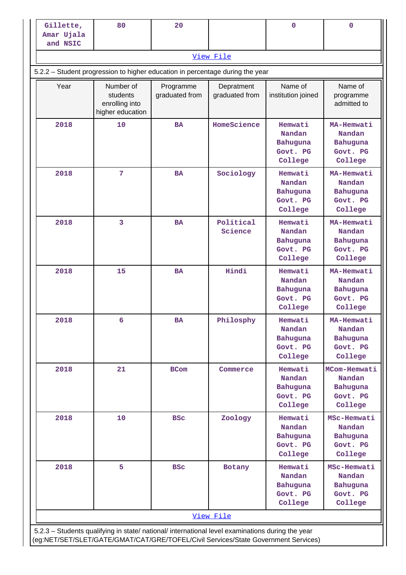| Gillette,<br>Amar Ujala                                                                                                                                                                | 80                                                          | 20                          |                              | 0                                                    | 0                                                         |  |  |
|----------------------------------------------------------------------------------------------------------------------------------------------------------------------------------------|-------------------------------------------------------------|-----------------------------|------------------------------|------------------------------------------------------|-----------------------------------------------------------|--|--|
| and NSIC                                                                                                                                                                               |                                                             |                             |                              |                                                      |                                                           |  |  |
|                                                                                                                                                                                        |                                                             |                             | View File                    |                                                      |                                                           |  |  |
| 5.2.2 - Student progression to higher education in percentage during the year                                                                                                          |                                                             |                             |                              |                                                      |                                                           |  |  |
| Year                                                                                                                                                                                   | Number of<br>students<br>enrolling into<br>higher education | Programme<br>graduated from | Depratment<br>graduated from | Name of<br>institution joined                        | Name of<br>programme<br>admitted to                       |  |  |
| 2018                                                                                                                                                                                   | 10                                                          | <b>BA</b>                   | HomeScience                  | Hemwati<br>Nandan<br>Bahuguna<br>Govt. PG<br>College | MA-Hemwati<br>Nandan<br>Bahuguna<br>Govt. PG<br>College   |  |  |
| 2018                                                                                                                                                                                   | $7\phantom{.0}$                                             | <b>BA</b>                   | Sociology                    | Hemwati<br>Nandan<br>Bahuguna<br>Govt. PG<br>College | MA-Hemwati<br>Nandan<br>Bahuguna<br>Govt. PG<br>College   |  |  |
| 2018                                                                                                                                                                                   | 3                                                           | <b>BA</b>                   | Political<br>Science         | Hemwati<br>Nandan<br>Bahuguna<br>Govt. PG<br>College | MA-Hemwati<br>Nandan<br>Bahuguna<br>Govt. PG<br>College   |  |  |
| 2018                                                                                                                                                                                   | 15                                                          | <b>BA</b>                   | Hindi                        | Hemwati<br>Nandan<br>Bahuguna<br>Govt. PG<br>College | MA-Hemwati<br>Nandan<br>Bahuguna<br>Govt. PG<br>College   |  |  |
| 2018                                                                                                                                                                                   | 6                                                           | <b>BA</b>                   | Philosphy                    | Hemwati<br>Nandan<br>Bahuguna<br>Govt. PG<br>College | MA-Hemwati<br>Nandan<br>Bahuguna<br>Govt. PG<br>College   |  |  |
| 2018                                                                                                                                                                                   | 21                                                          | <b>BCom</b>                 | Commerce                     | Hemwati<br>Nandan<br>Bahuguna<br>Govt. PG<br>College | MCom-Hemwati<br>Nandan<br>Bahuguna<br>Govt. PG<br>College |  |  |
| 2018                                                                                                                                                                                   | 10                                                          | <b>BSC</b>                  | Zoology                      | Hemwati<br>Nandan<br>Bahuguna<br>Govt. PG<br>College | MSc-Hemwati<br>Nandan<br>Bahuguna<br>Govt. PG<br>College  |  |  |
| 2018                                                                                                                                                                                   | 5                                                           | <b>BSC</b>                  | Botany                       | Hemwati<br>Nandan<br>Bahuguna<br>Govt. PG<br>College | MSc-Hemwati<br>Nandan<br>Bahuguna<br>Govt. PG<br>College  |  |  |
|                                                                                                                                                                                        |                                                             |                             | View File                    |                                                      |                                                           |  |  |
| 5.2.3 - Students qualifying in state/ national/ international level examinations during the year<br>(eg:NET/SET/SLET/GATE/GMAT/CAT/GRE/TOFEL/Civil Services/State Government Services) |                                                             |                             |                              |                                                      |                                                           |  |  |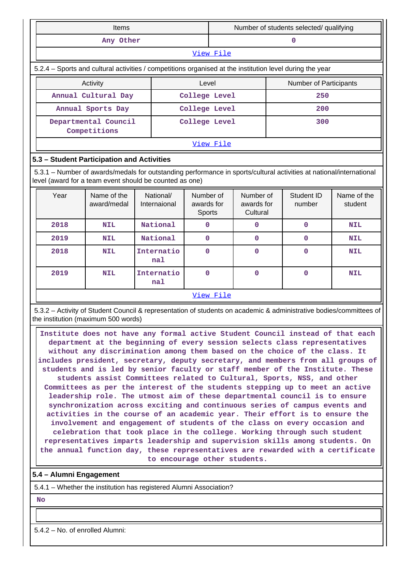| <b>Items</b>                                                                                             |               |           | Number of students selected/ qualifying |  |
|----------------------------------------------------------------------------------------------------------|---------------|-----------|-----------------------------------------|--|
| Any Other                                                                                                |               |           |                                         |  |
|                                                                                                          |               | View File |                                         |  |
| 5.2.4 – Sports and cultural activities / competitions organised at the institution level during the year |               |           |                                         |  |
| Activity                                                                                                 | Level         |           | Number of Participants                  |  |
| Annual Cultural Day                                                                                      | College Level |           | 250                                     |  |
| Annual Sports Day                                                                                        | College Level |           | 200                                     |  |
| Departmental Council<br>Competitions                                                                     | College Level |           | 300                                     |  |
|                                                                                                          |               | View File |                                         |  |

# **5.3 – Student Participation and Activities**

 5.3.1 – Number of awards/medals for outstanding performance in sports/cultural activities at national/international level (award for a team event should be counted as one)

| Year | Name of the<br>award/medal | National/<br>Internaional | Number of<br>awards for<br>Sports | Number of<br>awards for<br>Cultural | Student ID<br>number | Name of the<br>student |
|------|----------------------------|---------------------------|-----------------------------------|-------------------------------------|----------------------|------------------------|
| 2018 | <b>NIL</b>                 | National                  | 0                                 | 0                                   | $\mathbf 0$          | <b>NIL</b>             |
| 2019 | <b>NIL</b>                 | National                  | $\mathbf 0$                       | 0                                   | $\mathbf 0$          | <b>NIL</b>             |
| 2018 | <b>NIL</b>                 | Internatio<br>nal         | $\Omega$                          | 0                                   | $\mathbf 0$          | <b>NIL</b>             |
| 2019 | <b>NIL</b>                 | Internatio<br>na1         | $\mathbf 0$                       | 0                                   | $\mathbf 0$          | <b>NIL</b>             |
|      |                            |                           | View File                         |                                     |                      |                        |

 5.3.2 – Activity of Student Council & representation of students on academic & administrative bodies/committees of the institution (maximum 500 words)

 **Institute does not have any formal active Student Council instead of that each department at the beginning of every session selects class representatives without any discrimination among them based on the choice of the class. It includes president, secretary, deputy secretary, and members from all groups of students and is led by senior faculty or staff member of the Institute. These students assist Committees related to Cultural, Sports, NSS, and other Committees as per the interest of the students stepping up to meet an active leadership role. The utmost aim of these departmental council is to ensure synchronization across exciting and continuous series of campus events and activities in the course of an academic year. Their effort is to ensure the involvement and engagement of students of the class on every occasion and celebration that took place in the college. Working through such student representatives imparts leadership and supervision skills among students. On the annual function day, these representatives are rewarded with a certificate to encourage other students.**

# **5.4 – Alumni Engagement**

5.4.1 – Whether the institution has registered Alumni Association?

 **No**

5.4.2 – No. of enrolled Alumni: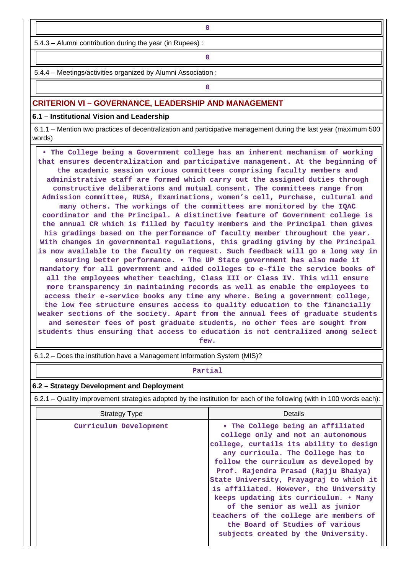5.4.3 – Alumni contribution during the year (in Rupees) :

**0**

5.4.4 – Meetings/activities organized by Alumni Association :

**0**

### **CRITERION VI – GOVERNANCE, LEADERSHIP AND MANAGEMENT**

**6.1 – Institutional Vision and Leadership**

 6.1.1 – Mention two practices of decentralization and participative management during the last year (maximum 500 words)

 **• The College being a Government college has an inherent mechanism of working that ensures decentralization and participative management. At the beginning of the academic session various committees comprising faculty members and administrative staff are formed which carry out the assigned duties through constructive deliberations and mutual consent. The committees range from Admission committee, RUSA, Examinations, women's cell, Purchase, cultural and many others. The workings of the committees are monitored by the IQAC coordinator and the Principal. A distinctive feature of Government college is the annual CR which is filled by faculty members and the Principal then gives his gradings based on the performance of faculty member throughout the year. With changes in governmental regulations, this grading giving by the Principal is now available to the faculty on request. Such feedback will go a long way in ensuring better performance. • The UP State government has also made it mandatory for all government and aided colleges to e-file the service books of all the employees whether teaching, Class III or Class IV. This will ensure more transparency in maintaining records as well as enable the employees to access their e-service books any time any where. Being a government college, the low fee structure ensures access to quality education to the financially weaker sections of the society. Apart from the annual fees of graduate students and semester fees of post graduate students, no other fees are sought from students thus ensuring that access to education is not centralized among select few.**

6.1.2 – Does the institution have a Management Information System (MIS)?

**Partial**

#### **6.2 – Strategy Development and Deployment**

6.2.1 – Quality improvement strategies adopted by the institution for each of the following (with in 100 words each):

| <b>Strategy Type</b>   | Details                                                                                                                                                                                                                                                                                                                                                                                                                                                                                                                       |
|------------------------|-------------------------------------------------------------------------------------------------------------------------------------------------------------------------------------------------------------------------------------------------------------------------------------------------------------------------------------------------------------------------------------------------------------------------------------------------------------------------------------------------------------------------------|
| Curriculum Development | • The College being an affiliated<br>college only and not an autonomous<br>college, curtails its ability to design<br>any curricula. The College has to<br>follow the curriculum as developed by<br>Prof. Rajendra Prasad (Rajju Bhaiya)<br>State University, Prayagraj to which it<br>is affiliated. However, the University<br>keeps updating its curriculum. • Many<br>of the senior as well as junior<br>teachers of the college are members of<br>the Board of Studies of various<br>subjects created by the University. |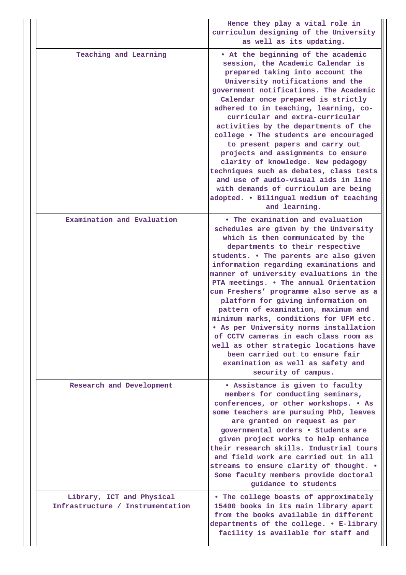|                                                               | Hence they play a vital role in<br>curriculum designing of the University<br>as well as its updating.                                                                                                                                                                                                                                                                                                                                                                                                                                                                                                                                                                                                                    |
|---------------------------------------------------------------|--------------------------------------------------------------------------------------------------------------------------------------------------------------------------------------------------------------------------------------------------------------------------------------------------------------------------------------------------------------------------------------------------------------------------------------------------------------------------------------------------------------------------------------------------------------------------------------------------------------------------------------------------------------------------------------------------------------------------|
| Teaching and Learning                                         | • At the beginning of the academic<br>session, the Academic Calendar is<br>prepared taking into account the<br>University notifications and the<br>government notifications. The Academic<br>Calendar once prepared is strictly<br>adhered to in teaching, learning, co-<br>curricular and extra-curricular<br>activities by the departments of the<br>college . The students are encouraged<br>to present papers and carry out<br>projects and assignments to ensure<br>clarity of knowledge. New pedagogy<br>techniques such as debates, class tests<br>and use of audio-visual aids in line<br>with demands of curriculum are being<br>adopted. . Bilingual medium of teaching<br>and learning.                       |
| Examination and Evaluation                                    | • The examination and evaluation<br>schedules are given by the University<br>which is then communicated by the<br>departments to their respective<br>students. . The parents are also given<br>information regarding examinations and<br>manner of university evaluations in the<br>PTA meetings. . The annual Orientation<br>cum Freshers' programme also serve as a<br>platform for giving information on<br>pattern of examination, maximum and<br>minimum marks, conditions for UFM etc.<br>. As per University norms installation<br>of CCTV cameras in each class room as<br>well as other strategic locations have<br>been carried out to ensure fair<br>examination as well as safety and<br>security of campus. |
| Research and Development                                      | . Assistance is given to faculty<br>members for conducting seminars,<br>conferences, or other workshops. . As<br>some teachers are pursuing PhD, leaves<br>are granted on request as per<br>governmental orders . Students are<br>given project works to help enhance<br>their research skills. Industrial tours<br>and field work are carried out in all<br>streams to ensure clarity of thought. .<br>Some faculty members provide doctoral<br>guidance to students                                                                                                                                                                                                                                                    |
| Library, ICT and Physical<br>Infrastructure / Instrumentation | . The college boasts of approximately<br>15400 books in its main library apart<br>from the books available in different<br>departments of the college. . E-library<br>facility is available for staff and                                                                                                                                                                                                                                                                                                                                                                                                                                                                                                                |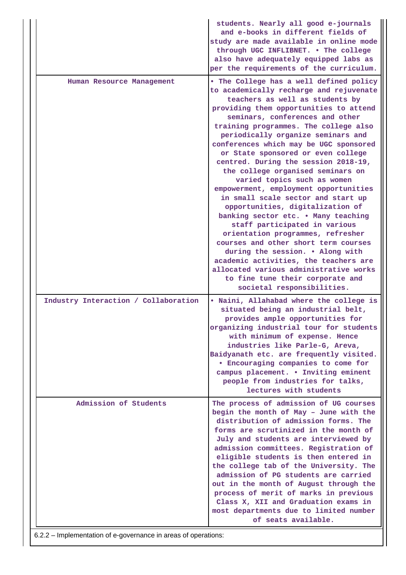|                                      | students. Nearly all good e-journals<br>and e-books in different fields of<br>study are made available in online mode<br>through UGC INFLIBNET. . The college<br>also have adequately equipped labs as<br>per the requirements of the curriculum.                                                                                                                                                                                                                                                                                                                                                                                                                                                                                                                                                                                                                                                                                              |
|--------------------------------------|------------------------------------------------------------------------------------------------------------------------------------------------------------------------------------------------------------------------------------------------------------------------------------------------------------------------------------------------------------------------------------------------------------------------------------------------------------------------------------------------------------------------------------------------------------------------------------------------------------------------------------------------------------------------------------------------------------------------------------------------------------------------------------------------------------------------------------------------------------------------------------------------------------------------------------------------|
| Human Resource Management            | . The College has a well defined policy<br>to academically recharge and rejuvenate<br>teachers as well as students by<br>providing them opportunities to attend<br>seminars, conferences and other<br>training programmes. The college also<br>periodically organize seminars and<br>conferences which may be UGC sponsored<br>or State sponsored or even college<br>centred. During the session 2018-19,<br>the college organised seminars on<br>varied topics such as women<br>empowerment, employment opportunities<br>in small scale sector and start up<br>opportunities, digitalization of<br>banking sector etc. . Many teaching<br>staff participated in various<br>orientation programmes, refresher<br>courses and other short term courses<br>during the session. . Along with<br>academic activities, the teachers are<br>allocated various administrative works<br>to fine tune their corporate and<br>societal responsibilities. |
| Industry Interaction / Collaboration | . Naini, Allahabad where the college is<br>situated being an industrial belt,<br>provides ample opportunities for<br>organizing industrial tour for students<br>with minimum of expense. Hence<br>industries like Parle-G, Areva,<br>Baidyanath etc. are frequently visited.<br><b>• Encouraging companies to come for</b><br>campus placement. . Inviting eminent<br>people from industries for talks,<br>lectures with students                                                                                                                                                                                                                                                                                                                                                                                                                                                                                                              |
| Admission of Students                | The process of admission of UG courses<br>begin the month of May - June with the<br>distribution of admission forms. The<br>forms are scrutinized in the month of<br>July and students are interviewed by<br>admission committees. Registration of<br>eligible students is then entered in<br>the college tab of the University. The<br>admission of PG students are carried<br>out in the month of August through the<br>process of merit of marks in previous<br>Class X, XII and Graduation exams in<br>most departments due to limited number<br>of seats available.                                                                                                                                                                                                                                                                                                                                                                       |

6.2.2 – Implementation of e-governance in areas of operations: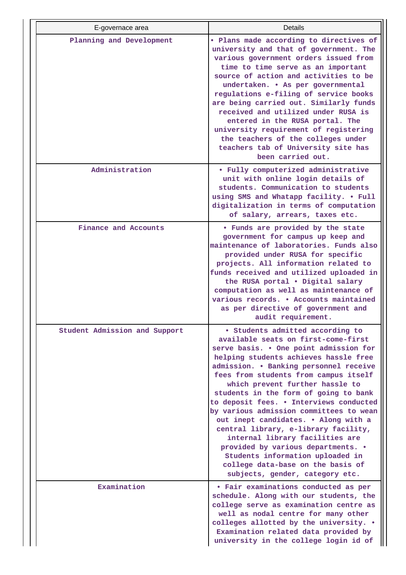| E-governace area              | Details                                                                                                                                                                                                                                                                                                                                                                                                                                                                                                                                                                                                                                                                              |
|-------------------------------|--------------------------------------------------------------------------------------------------------------------------------------------------------------------------------------------------------------------------------------------------------------------------------------------------------------------------------------------------------------------------------------------------------------------------------------------------------------------------------------------------------------------------------------------------------------------------------------------------------------------------------------------------------------------------------------|
| Planning and Development      | . Plans made according to directives of<br>university and that of government. The<br>various government orders issued from<br>time to time serve as an important<br>source of action and activities to be<br>undertaken. • As per governmental<br>regulations e-filing of service books<br>are being carried out. Similarly funds<br>received and utilized under RUSA is<br>entered in the RUSA portal. The<br>university requirement of registering<br>the teachers of the colleges under<br>teachers tab of University site has<br>been carried out.                                                                                                                               |
| Administration                | • Fully computerized administrative<br>unit with online login details of<br>students. Communication to students<br>using SMS and Whatapp facility. . Full<br>digitalization in terms of computation<br>of salary, arrears, taxes etc.                                                                                                                                                                                                                                                                                                                                                                                                                                                |
| Finance and Accounts          | . Funds are provided by the state<br>government for campus up keep and<br>maintenance of laboratories. Funds also<br>provided under RUSA for specific<br>projects. All information related to<br>funds received and utilized uploaded in<br>the RUSA portal . Digital salary<br>computation as well as maintenance of<br>various records. . Accounts maintained<br>as per directive of government and<br>audit requirement.                                                                                                                                                                                                                                                          |
| Student Admission and Support | • Students admitted according to<br>available seats on first-come-first<br>serve basis. . One point admission for<br>helping students achieves hassle free<br>admission. . Banking personnel receive<br>fees from students from campus itself<br>which prevent further hassle to<br>students in the form of going to bank<br>to deposit fees. . Interviews conducted<br>by various admission committees to wean<br>out inept candidates. . Along with a<br>central library, e-library facility,<br>internal library facilities are<br>provided by various departments. .<br>Students information uploaded in<br>college data-base on the basis of<br>subjects, gender, category etc. |
| Examination                   | • Fair examinations conducted as per<br>schedule. Along with our students, the<br>college serve as examination centre as<br>well as nodal centre for many other<br>colleges allotted by the university. .<br>Examination related data provided by<br>university in the college login id of                                                                                                                                                                                                                                                                                                                                                                                           |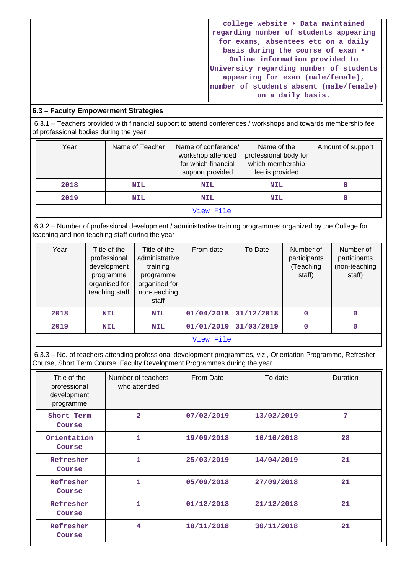| college website . Data maintained       |
|-----------------------------------------|
| regarding number of students appearing  |
| for exams, absentees etc on a daily     |
| basis during the course of exam .       |
| Online information provided to          |
| University regarding number of students |
| appearing for exam (male/female),       |
| number of students absent (male/female) |
| on a daily basis.                       |

# **6.3 – Faculty Empowerment Strategies**

 6.3.1 – Teachers provided with financial support to attend conferences / workshops and towards membership fee of professional bodies during the year

| Year      | Name of Teacher | Name of conference/<br>workshop attended<br>for which financial<br>support provided | Name of the<br>professional body for<br>which membership<br>fee is provided | Amount of support |  |  |
|-----------|-----------------|-------------------------------------------------------------------------------------|-----------------------------------------------------------------------------|-------------------|--|--|
| 2018      | <b>NIL</b>      | <b>NIL</b>                                                                          | <b>NIL</b>                                                                  |                   |  |  |
| 2019      | <b>NIL</b>      | <b>NIL</b>                                                                          | <b>NIL</b>                                                                  |                   |  |  |
| View File |                 |                                                                                     |                                                                             |                   |  |  |

 6.3.2 – Number of professional development / administrative training programmes organized by the College for teaching and non teaching staff during the year

| Year | Title of the<br>professional<br>development<br>programme<br>organised for<br>teaching staff | Title of the<br>administrative<br>training<br>programme<br>organised for<br>non-teaching<br>staff | From date  | To Date    | Number of<br>participants<br>(Teaching<br>staff) | Number of<br>participants<br>(non-teaching<br>staff) |  |
|------|---------------------------------------------------------------------------------------------|---------------------------------------------------------------------------------------------------|------------|------------|--------------------------------------------------|------------------------------------------------------|--|
| 2018 | <b>NIL</b>                                                                                  | <b>NIL</b>                                                                                        | 01/04/2018 | 31/12/2018 | 0                                                |                                                      |  |
| 2019 | <b>NIL</b>                                                                                  | <b>NIL</b>                                                                                        | 01/01/2019 | 31/03/2019 | $\mathbf 0$                                      |                                                      |  |
|      | View File                                                                                   |                                                                                                   |            |            |                                                  |                                                      |  |

 6.3.3 – No. of teachers attending professional development programmes, viz., Orientation Programme, Refresher Course, Short Term Course, Faculty Development Programmes during the year

| Title of the<br>professional<br>development<br>programme | Number of teachers<br>who attended | From Date  | To date    | Duration |
|----------------------------------------------------------|------------------------------------|------------|------------|----------|
| Short Term<br>Course                                     | $\overline{2}$                     | 07/02/2019 | 13/02/2019 | 7        |
| Orientation<br>Course                                    | 1                                  | 19/09/2018 | 16/10/2018 | 28       |
| Refresher<br>Course                                      | 1                                  | 25/03/2019 | 14/04/2019 | 21       |
| Refresher<br>Course                                      | 1                                  | 05/09/2018 | 27/09/2018 | 21       |
| Refresher<br>Course                                      | 1                                  | 01/12/2018 | 21/12/2018 | 21       |
| Refresher<br>Course                                      | 4                                  | 10/11/2018 | 30/11/2018 | 21       |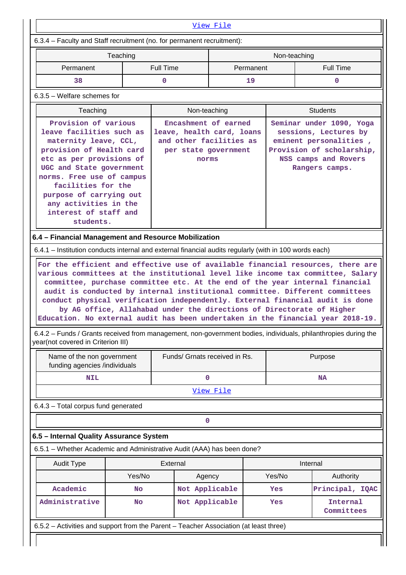|                                                                                                                                                                                                                                                                                                            |                     | View File                                                                                                     |              |                                                                                                                                                    |                                                                                                                                                                                                                                                                                                                                                                                                                                             |  |  |
|------------------------------------------------------------------------------------------------------------------------------------------------------------------------------------------------------------------------------------------------------------------------------------------------------------|---------------------|---------------------------------------------------------------------------------------------------------------|--------------|----------------------------------------------------------------------------------------------------------------------------------------------------|---------------------------------------------------------------------------------------------------------------------------------------------------------------------------------------------------------------------------------------------------------------------------------------------------------------------------------------------------------------------------------------------------------------------------------------------|--|--|
| 6.3.4 – Faculty and Staff recruitment (no. for permanent recruitment):                                                                                                                                                                                                                                     |                     |                                                                                                               |              |                                                                                                                                                    |                                                                                                                                                                                                                                                                                                                                                                                                                                             |  |  |
|                                                                                                                                                                                                                                                                                                            | Teaching            |                                                                                                               |              | Non-teaching                                                                                                                                       |                                                                                                                                                                                                                                                                                                                                                                                                                                             |  |  |
| Permanent                                                                                                                                                                                                                                                                                                  |                     | <b>Full Time</b>                                                                                              | Permanent    | <b>Full Time</b><br>0                                                                                                                              |                                                                                                                                                                                                                                                                                                                                                                                                                                             |  |  |
| 38                                                                                                                                                                                                                                                                                                         |                     | 0                                                                                                             | 19           |                                                                                                                                                    |                                                                                                                                                                                                                                                                                                                                                                                                                                             |  |  |
| $6.3.5$ – Welfare schemes for                                                                                                                                                                                                                                                                              |                     |                                                                                                               |              |                                                                                                                                                    |                                                                                                                                                                                                                                                                                                                                                                                                                                             |  |  |
| Teaching                                                                                                                                                                                                                                                                                                   |                     |                                                                                                               | Non-teaching |                                                                                                                                                    | <b>Students</b>                                                                                                                                                                                                                                                                                                                                                                                                                             |  |  |
| Provision of various<br>leave facilities such as<br>maternity leave, CCL,<br>provision of Health card<br>etc as per provisions of<br>UGC and State government<br>norms. Free use of campus<br>facilities for the<br>purpose of carrying out<br>any activities in the<br>interest of staff and<br>students. |                     | Encashment of earned<br>leave, health card, loans<br>and other facilities as<br>per state government<br>norms |              | Seminar under 1090, Yoga<br>sessions, Lectures by<br>eminent personalities,<br>Provision of scholarship,<br>NSS camps and Rovers<br>Rangers camps. |                                                                                                                                                                                                                                                                                                                                                                                                                                             |  |  |
| 6.4 - Financial Management and Resource Mobilization                                                                                                                                                                                                                                                       |                     |                                                                                                               |              |                                                                                                                                                    |                                                                                                                                                                                                                                                                                                                                                                                                                                             |  |  |
| 6.4.1 – Institution conducts internal and external financial audits regularly (with in 100 words each)                                                                                                                                                                                                     |                     |                                                                                                               |              |                                                                                                                                                    |                                                                                                                                                                                                                                                                                                                                                                                                                                             |  |  |
| year(not covered in Criterion III)                                                                                                                                                                                                                                                                         |                     |                                                                                                               |              |                                                                                                                                                    | audit is conducted by internal institutional committee. Different committees<br>conduct physical verification independently. External financial audit is done<br>by AG office, Allahabad under the directions of Directorate of Higher<br>Education. No external audit has been undertaken in the financial year 2018-19.<br>6.4.2 - Funds / Grants received from management, non-government bodies, individuals, philanthropies during the |  |  |
| Name of the non government                                                                                                                                                                                                                                                                                 |                     | Funds/ Grnats received in Rs.                                                                                 |              | Purpose                                                                                                                                            |                                                                                                                                                                                                                                                                                                                                                                                                                                             |  |  |
| funding agencies /individuals                                                                                                                                                                                                                                                                              |                     |                                                                                                               |              |                                                                                                                                                    |                                                                                                                                                                                                                                                                                                                                                                                                                                             |  |  |
| <b>NIL</b>                                                                                                                                                                                                                                                                                                 |                     |                                                                                                               |              |                                                                                                                                                    |                                                                                                                                                                                                                                                                                                                                                                                                                                             |  |  |
|                                                                                                                                                                                                                                                                                                            |                     | 0                                                                                                             |              |                                                                                                                                                    | <b>NA</b>                                                                                                                                                                                                                                                                                                                                                                                                                                   |  |  |
|                                                                                                                                                                                                                                                                                                            |                     |                                                                                                               | View File    |                                                                                                                                                    |                                                                                                                                                                                                                                                                                                                                                                                                                                             |  |  |
|                                                                                                                                                                                                                                                                                                            |                     |                                                                                                               |              |                                                                                                                                                    |                                                                                                                                                                                                                                                                                                                                                                                                                                             |  |  |
|                                                                                                                                                                                                                                                                                                            |                     | 0                                                                                                             |              |                                                                                                                                                    |                                                                                                                                                                                                                                                                                                                                                                                                                                             |  |  |
| 6.4.3 - Total corpus fund generated<br>6.5 - Internal Quality Assurance System                                                                                                                                                                                                                             |                     |                                                                                                               |              |                                                                                                                                                    |                                                                                                                                                                                                                                                                                                                                                                                                                                             |  |  |
|                                                                                                                                                                                                                                                                                                            |                     |                                                                                                               |              |                                                                                                                                                    |                                                                                                                                                                                                                                                                                                                                                                                                                                             |  |  |
| <b>Audit Type</b>                                                                                                                                                                                                                                                                                          |                     | External                                                                                                      |              |                                                                                                                                                    | Internal                                                                                                                                                                                                                                                                                                                                                                                                                                    |  |  |
| Academic                                                                                                                                                                                                                                                                                                   | Yes/No<br><b>No</b> | Agency                                                                                                        |              | Yes/No<br>Yes                                                                                                                                      | Authority                                                                                                                                                                                                                                                                                                                                                                                                                                   |  |  |
| 6.5.1 - Whether Academic and Administrative Audit (AAA) has been done?<br>Administrative                                                                                                                                                                                                                   | <b>No</b>           | Not Applicable<br>Not Applicable                                                                              |              | Yes                                                                                                                                                | Principal, IQAC<br>Internal<br>Committees                                                                                                                                                                                                                                                                                                                                                                                                   |  |  |
| 6.5.2 - Activities and support from the Parent - Teacher Association (at least three)                                                                                                                                                                                                                      |                     |                                                                                                               |              |                                                                                                                                                    |                                                                                                                                                                                                                                                                                                                                                                                                                                             |  |  |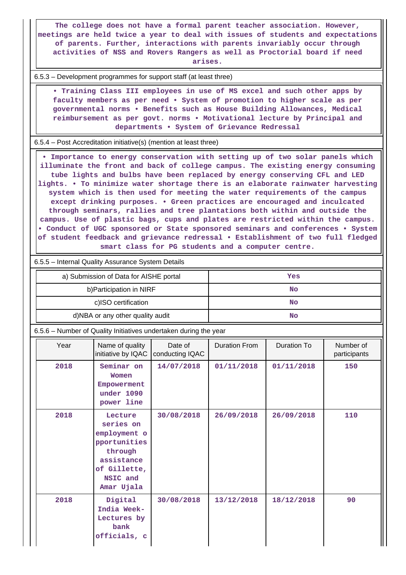**The college does not have a formal parent teacher association. However, meetings are held twice a year to deal with issues of students and expectations of parents. Further, interactions with parents invariably occur through activities of NSS and Rovers Rangers as well as Proctorial board if need arises.**

6.5.3 – Development programmes for support staff (at least three)

 **• Training Class III employees in use of MS excel and such other apps by faculty members as per need • System of promotion to higher scale as per governmental norms • Benefits such as House Building Allowances, Medical reimbursement as per govt. norms • Motivational lecture by Principal and departments • System of Grievance Redressal**

6.5.4 – Post Accreditation initiative(s) (mention at least three)

 **• Importance to energy conservation with setting up of two solar panels which illuminate the front and back of college campus. The existing energy consuming tube lights and bulbs have been replaced by energy conserving CFL and LED lights. • To minimize water shortage there is an elaborate rainwater harvesting system which is then used for meeting the water requirements of the campus except drinking purposes. • Green practices are encouraged and inculcated through seminars, rallies and tree plantations both within and outside the campus. Use of plastic bags, cups and plates are restricted within the campus. • Conduct of UGC sponsored or State sponsored seminars and conferences • System of student feedback and grievance redressal • Establishment of two full fledged smart class for PG students and a computer centre.**

6.5.5 – Internal Quality Assurance System Details

| a) Submission of Data for AISHE portal | Yes |
|----------------------------------------|-----|
| b) Participation in NIRF               | No  |
| c)ISO certification                    | No  |
| d)NBA or any other quality audit       | No  |

6.5.6 – Number of Quality Initiatives undertaken during the year

| Year | Name of quality<br>initiative by IQAC                                                                                   | Date of<br>conducting IQAC | <b>Duration From</b> | Duration To | Number of<br>participants |
|------|-------------------------------------------------------------------------------------------------------------------------|----------------------------|----------------------|-------------|---------------------------|
| 2018 | Seminar on<br>Women<br>Empowerment<br>under 1090<br>power line                                                          | 14/07/2018                 | 01/11/2018           | 01/11/2018  | 150                       |
| 2018 | Lecture<br>series on<br>employment o<br>pportunities<br>through<br>assistance<br>of Gillette,<br>NSIC and<br>Amar Ujala | 30/08/2018                 | 26/09/2018           | 26/09/2018  | 110                       |
| 2018 | Digital<br>India Week-<br>Lectures by<br>bank<br>officials, c                                                           | 30/08/2018                 | 13/12/2018           | 18/12/2018  | 90                        |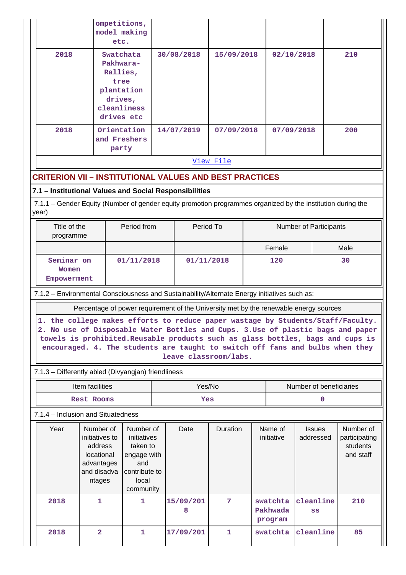|                                                                                                                                                                                                                                                                                                                                         | model making<br>etc.                                                                             | ompetitions,                                                                                      |            |                                                                                       |                 |  |                                 |                            |                                                     |  |
|-----------------------------------------------------------------------------------------------------------------------------------------------------------------------------------------------------------------------------------------------------------------------------------------------------------------------------------------|--------------------------------------------------------------------------------------------------|---------------------------------------------------------------------------------------------------|------------|---------------------------------------------------------------------------------------|-----------------|--|---------------------------------|----------------------------|-----------------------------------------------------|--|
| 2018                                                                                                                                                                                                                                                                                                                                    | Swatchata<br>Pakhwara-<br>Rallies,<br>tree<br>plantation<br>drives,<br>cleanliness<br>drives etc |                                                                                                   |            | 30/08/2018<br>15/09/2018                                                              |                 |  | 02/10/2018                      |                            | 210                                                 |  |
| 2018                                                                                                                                                                                                                                                                                                                                    | Orientation<br>and Freshers<br>party                                                             |                                                                                                   |            | 14/07/2019                                                                            | 07/09/2018      |  | 07/09/2018                      |                            | 200                                                 |  |
|                                                                                                                                                                                                                                                                                                                                         |                                                                                                  |                                                                                                   |            |                                                                                       | View File       |  |                                 |                            |                                                     |  |
| <b>CRITERION VII - INSTITUTIONAL VALUES AND BEST PRACTICES</b>                                                                                                                                                                                                                                                                          |                                                                                                  |                                                                                                   |            |                                                                                       |                 |  |                                 |                            |                                                     |  |
| 7.1 - Institutional Values and Social Responsibilities                                                                                                                                                                                                                                                                                  |                                                                                                  |                                                                                                   |            |                                                                                       |                 |  |                                 |                            |                                                     |  |
| 7.1.1 – Gender Equity (Number of gender equity promotion programmes organized by the institution during the<br>year)                                                                                                                                                                                                                    |                                                                                                  |                                                                                                   |            |                                                                                       |                 |  |                                 |                            |                                                     |  |
| Title of the<br>programme                                                                                                                                                                                                                                                                                                               |                                                                                                  | Period from                                                                                       |            | Period To                                                                             |                 |  |                                 |                            | Number of Participants                              |  |
|                                                                                                                                                                                                                                                                                                                                         |                                                                                                  |                                                                                                   |            |                                                                                       |                 |  | Female                          |                            | Male                                                |  |
| 01/11/2018<br>Seminar on<br>Women                                                                                                                                                                                                                                                                                                       |                                                                                                  |                                                                                                   | 01/11/2018 |                                                                                       | 120             |  |                                 | 30                         |                                                     |  |
| Empowerment                                                                                                                                                                                                                                                                                                                             |                                                                                                  |                                                                                                   |            |                                                                                       |                 |  |                                 |                            |                                                     |  |
|                                                                                                                                                                                                                                                                                                                                         |                                                                                                  |                                                                                                   |            |                                                                                       |                 |  |                                 |                            |                                                     |  |
| 7.1.2 - Environmental Consciousness and Sustainability/Alternate Energy initiatives such as:                                                                                                                                                                                                                                            |                                                                                                  |                                                                                                   |            |                                                                                       |                 |  |                                 |                            |                                                     |  |
|                                                                                                                                                                                                                                                                                                                                         |                                                                                                  |                                                                                                   |            | Percentage of power requirement of the University met by the renewable energy sources |                 |  |                                 |                            |                                                     |  |
| 1. the college makes efforts to reduce paper wastage by Students/Staff/Faculty.<br>2. No use of Disposable Water Bottles and Cups. 3. Use of plastic bags and paper<br>towels is prohibited. Reusable products such as glass bottles, bags and cups is<br>encouraged. 4. The students are taught to switch off fans and bulbs when they |                                                                                                  |                                                                                                   |            | leave classroom/labs.                                                                 |                 |  |                                 |                            |                                                     |  |
| 7.1.3 - Differently abled (Divyangjan) friendliness                                                                                                                                                                                                                                                                                     |                                                                                                  |                                                                                                   |            |                                                                                       |                 |  |                                 |                            |                                                     |  |
|                                                                                                                                                                                                                                                                                                                                         | Item facilities                                                                                  |                                                                                                   |            | Yes/No                                                                                |                 |  |                                 | Number of beneficiaries    |                                                     |  |
|                                                                                                                                                                                                                                                                                                                                         | <b>Rest Rooms</b>                                                                                |                                                                                                   |            | Yes                                                                                   |                 |  |                                 | 0                          |                                                     |  |
| 7.1.4 - Inclusion and Situatedness                                                                                                                                                                                                                                                                                                      |                                                                                                  |                                                                                                   |            |                                                                                       |                 |  |                                 |                            |                                                     |  |
| Year                                                                                                                                                                                                                                                                                                                                    | Number of<br>initiatives to<br>address<br>locational<br>advantages<br>and disadva<br>ntages      | Number of<br>initiatives<br>taken to<br>engage with<br>and<br>contribute to<br>local<br>community |            | Date                                                                                  | Duration        |  | Name of<br>initiative           | <b>Issues</b><br>addressed | Number of<br>participating<br>students<br>and staff |  |
| 2018                                                                                                                                                                                                                                                                                                                                    | $\mathbf{1}$                                                                                     | 1                                                                                                 |            | 15/09/201<br>8                                                                        | $7\phantom{.}7$ |  | swatchta<br>Pakhwada<br>program | cleanline<br>SS            | 210                                                 |  |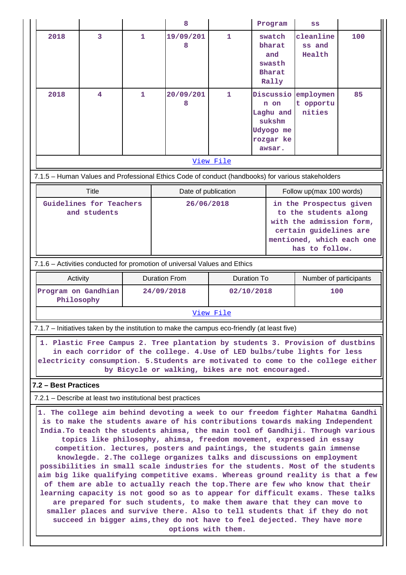|                                         |                                                 |              | 8                                                                                                                                                                                                                                                                                                                                                                                                                                                                                                                                                                   |              | Program                                                                      | SS                                                                                                                                                    |     |  |
|-----------------------------------------|-------------------------------------------------|--------------|---------------------------------------------------------------------------------------------------------------------------------------------------------------------------------------------------------------------------------------------------------------------------------------------------------------------------------------------------------------------------------------------------------------------------------------------------------------------------------------------------------------------------------------------------------------------|--------------|------------------------------------------------------------------------------|-------------------------------------------------------------------------------------------------------------------------------------------------------|-----|--|
| 2018                                    | 3                                               | $\mathbf{1}$ | 19/09/201<br>8                                                                                                                                                                                                                                                                                                                                                                                                                                                                                                                                                      | $\mathbf{1}$ | swatch<br>bharat<br>and<br>swasth<br><b>Bharat</b><br>Rally                  | cleanline<br>ss and<br>Health                                                                                                                         | 100 |  |
| 2018                                    | 4                                               | 1            | 20/09/201<br>8                                                                                                                                                                                                                                                                                                                                                                                                                                                                                                                                                      | 1            | Discussio<br>n on<br>Laghu and<br>sukshm<br>Udyogo me<br>rozgar ke<br>awsar. | employmen<br>t opportu<br>nities                                                                                                                      | 85  |  |
|                                         |                                                 |              |                                                                                                                                                                                                                                                                                                                                                                                                                                                                                                                                                                     | View File    |                                                                              |                                                                                                                                                       |     |  |
|                                         |                                                 |              | 7.1.5 - Human Values and Professional Ethics Code of conduct (handbooks) for various stakeholders                                                                                                                                                                                                                                                                                                                                                                                                                                                                   |              |                                                                              |                                                                                                                                                       |     |  |
|                                         | Title                                           |              | Date of publication                                                                                                                                                                                                                                                                                                                                                                                                                                                                                                                                                 |              |                                                                              | Follow up(max 100 words)                                                                                                                              |     |  |
| Guidelines for Teachers<br>and students |                                                 |              | 26/06/2018                                                                                                                                                                                                                                                                                                                                                                                                                                                                                                                                                          |              |                                                                              | in the Prospectus given<br>to the students along<br>with the admission form,<br>certain guidelines are<br>mentioned, which each one<br>has to follow. |     |  |
|                                         |                                                 |              | 7.1.6 - Activities conducted for promotion of universal Values and Ethics                                                                                                                                                                                                                                                                                                                                                                                                                                                                                           |              |                                                                              |                                                                                                                                                       |     |  |
| Activity                                |                                                 |              | <b>Duration From</b>                                                                                                                                                                                                                                                                                                                                                                                                                                                                                                                                                |              | <b>Duration To</b>                                                           | Number of participants                                                                                                                                |     |  |
|                                         | Program on Gandhian<br>24/09/2018<br>Philosophy |              |                                                                                                                                                                                                                                                                                                                                                                                                                                                                                                                                                                     |              | 02/10/2018                                                                   | 100                                                                                                                                                   |     |  |
|                                         |                                                 |              |                                                                                                                                                                                                                                                                                                                                                                                                                                                                                                                                                                     | View File    |                                                                              |                                                                                                                                                       |     |  |
|                                         |                                                 |              | 7.1.7 – Initiatives taken by the institution to make the campus eco-friendly (at least five)                                                                                                                                                                                                                                                                                                                                                                                                                                                                        |              |                                                                              |                                                                                                                                                       |     |  |
|                                         |                                                 |              | 1. Plastic Free Campus 2. Tree plantation by students 3. Provision of dustbins<br>in each corridor of the college. 4. Use of LED bulbs/tube lights for less<br>electricity consumption. 5. Students are motivated to come to the college either<br>by Bicycle or walking, bikes are not encouraged.                                                                                                                                                                                                                                                                 |              |                                                                              |                                                                                                                                                       |     |  |
| 7.2 - Best Practices                    |                                                 |              |                                                                                                                                                                                                                                                                                                                                                                                                                                                                                                                                                                     |              |                                                                              |                                                                                                                                                       |     |  |
|                                         |                                                 |              | 7.2.1 – Describe at least two institutional best practices                                                                                                                                                                                                                                                                                                                                                                                                                                                                                                          |              |                                                                              |                                                                                                                                                       |     |  |
|                                         |                                                 |              | 1. The college aim behind devoting a week to our freedom fighter Mahatma Gandhi<br>is to make the students aware of his contributions towards making Independent<br>India. To teach the students ahimsa, the main tool of Gandhiji. Through various<br>topics like philosophy, ahimsa, freedom movement, expressed in essay<br>competition. lectures, posters and paintings, the students gain immense<br>knowlegde. 2. The college organizes talks and discussions on employment<br>possibilities in small scale industries for the students. Most of the students |              |                                                                              | aim big like qualifying competitive exams. Whereas ground reality is that a few                                                                       |     |  |